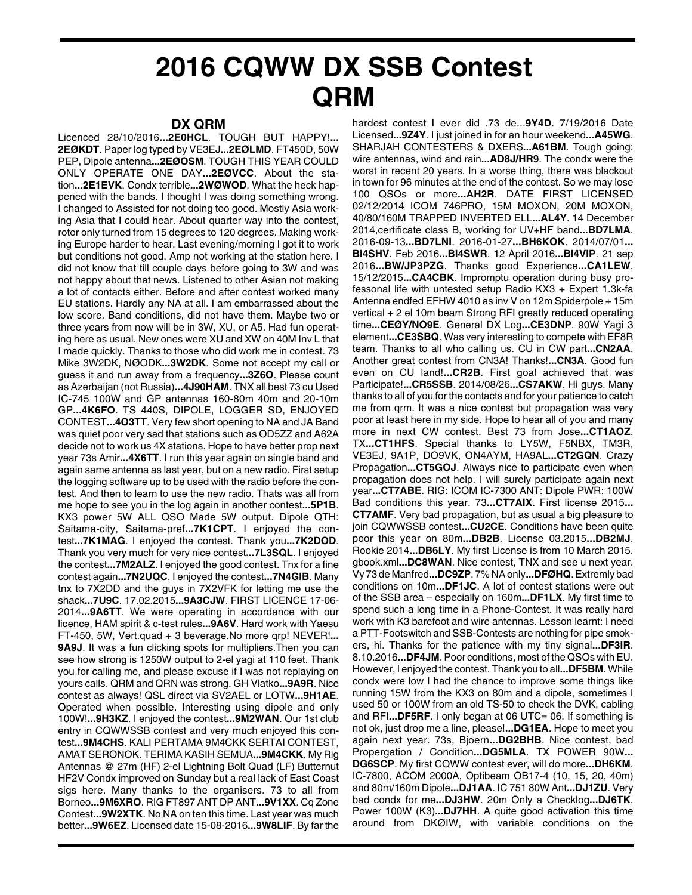## **2016 CQWW DX SSB Contest QRM**

## **DX QRM**

Licenced 28/10/2016**...2E0HCL**. TOUGH BUT HAPPY!**... 2EØKDT**. Paper log typed by VE3EJ**...2EØLMD**. FT450D, 50W PEP, Dipole antenna**...2EØOSM**. TOUGH THIS YEAR COULD ONLY OPERATE ONE DAY**...2EØVCC**. About the station**...2E1EVK**. Condx terrible**...2WØWOD**. What the heck happened with the bands. I thought I was doing something wrong. I changed to Assisted for not doing too good. Mostly Asia working Asia that I could hear. About quarter way into the contest, rotor only turned from 15 degrees to 120 degrees. Making working Europe harder to hear. Last evening/morning I got it to work but conditions not good. Amp not working at the station here. I did not know that till couple days before going to 3W and was not happy about that news. Listened to other Asian not making a lot of contacts either. Before and after contest worked many EU stations. Hardly any NA at all. I am embarrassed about the low score. Band conditions, did not have them. Maybe two or three years from now will be in 3W, XU, or A5. Had fun operating here as usual. New ones were XU and XW on 40M Inv L that I made quickly. Thanks to those who did work me in contest. 73 Mike 3W2DK, NØODK**...3W2DK**. Some not accept my call or guess it and run away from a frequency**...3Z6O**. Please count as Azerbaijan (not Russia)**...4J90HAM**. TNX all best 73 cu Used IC-745 100W and GP antennas 160-80m 40m and 20-10m GP**...4K6FO**. TS 440S, DIPOLE, LOGGER SD, ENJOYED CONTEST**...4O3TT**. Very few short opening to NA and JA Band was quiet poor very sad that stations such as OD5ZZ and A62A decide not to work us 4X stations. Hope to have better prop next year 73s Amir**...4X6TT**. I run this year again on single band and again same antenna as last year, but on a new radio. First setup the logging software up to be used with the radio before the contest. And then to learn to use the new radio. Thats was all from me hope to see you in the log again in another contest**...5P1B**. KX3 power 5W ALL QSO Made 5W output. Dipole QTH: Saitama-city, Saitama-pref**...7K1CPT**. I enjoyed the contest**...7K1MAG**. I enjoyed the contest. Thank you**...7K2DOD**. Thank you very much for very nice contest**...7L3SQL**. I enjoyed the contest**...7M2ALZ**. I enjoyed the good contest. Tnx for a fine contest again**...7N2UQC**. I enjoyed the contest**...7N4GIB**. Many tnx to 7X2DD and the guys in 7X2VFK for letting me use the shack**...7U9C**. 17.02.2015**...9A3CJW**. FIRST LICENCE 17-06- 2014**...9A6TT**. We were operating in accordance with our licence, HAM spirit & c-test rules**...9A6V**. Hard work with Yaesu FT-450, 5W, Vert.quad + 3 beverage.No more qrp! NEVER!**... 9A9J**. It was a fun clicking spots for multipliers.Then you can see how strong is 1250W output to 2-el yagi at 110 feet. Thank you for calling me, and please excuse if I was not replaying on yours calls. QRM and QRN was strong. GH Vlatko**...9A9R**. Nice contest as always! QSL direct via SV2AEL or LOTW**...9H1AE**. Operated when possible. Interesting using dipole and only 100W!**...9H3KZ**. I enjoyed the contest**...9M2WAN**. Our 1st club entry in CQWWSSB contest and very much enjoyed this contest**...9M4CHS**. KALI PERTAMA 9M4CKK SERTAI CONTEST, AMAT SERONOK. TERIMA KASIH SEMUA**...9M4CKK**. My Rig Antennas @ 27m (HF) 2-el Lightning Bolt Quad (LF) Butternut HF2V Condx improved on Sunday but a real lack of East Coast sigs here. Many thanks to the organisers. 73 to all from Borneo**...9M6XRO**. RIG FT897 ANT DP ANT**...9V1XX**. Cq Zone Contest**...9W2XTK**. No NA on ten this time. Last year was much better**...9W6EZ**. Licensed date 15-08-2016**...9W8LIF**. By far the

hardest contest I ever did .73 de...**9Y4D**. 7/19/2016 Date Licensed**...9Z4Y**. I just joined in for an hour weekend**...A45WG**. SHARJAH CONTESTERS & DXERS**...A61BM**. Tough going: wire antennas, wind and rain**...AD8J/HR9**. The condx were the worst in recent 20 years. In a worse thing, there was blackout in town for 96 minutes at the end of the contest. So we may lose 100 QSOs or more**...AH2R**. DATE FIRST LICENSED 02/12/2014 ICOM 746PRO, 15M MOXON, 20M MOXON, 40/80/160M TRAPPED INVERTED ELL**...AL4Y**. 14 December 2014,certificate class B, working for UV+HF band**...BD7LMA**. 2016-09-13**...BD7LNI**. 2016-01-27**...BH6KOK**. 2014/07/01**... BI4SHV**. Feb 2016**...BI4SWR**. 12 April 2016**...BI4VIP**. 21 sep 2016**...BW/JP3PZG**. Thanks good Experience**...CA1LEW**. 15/12/2015**...CA4CBK**. Impromptu operation during busy professonal life with untested setup Radio KX3 + Expert 1.3k-fa Antenna endfed EFHW 4010 as inv V on 12m Spiderpole + 15m vertical + 2 el 10m beam Strong RFI greatly reduced operating time**...CEØY/NO9E**. General DX Log**...CE3DNP**. 90W Yagi 3 element**...CE3SBQ**. Was very interesting to compete with EF8R team. Thanks to all who calling us. CU in CW part**...CN2AA**. Another great contest from CN3A! Thanks!**...CN3A**. Good fun even on CU land!**...CR2B**. First goal achieved that was Participate!**...CR5SSB**. 2014/08/26**...CS7AKW**. Hi guys. Many thanks to all of you for the contacts and for your patience to catch me from qrm. It was a nice contest but propagation was very poor at least here in my side. Hope to hear all of you and many more in next CW contest. Best 73 from Jose**...CT1AOZ**. TX**...CT1HFS**. Special thanks to LY5W, F5NBX, TM3R, VE3EJ, 9A1P, DO9VK, ON4AYM, HA9AL**...CT2GQN**. Crazy Propagation**...CT5GOJ**. Always nice to participate even when propagation does not help. I will surely participate again next year**...CT7ABE**. RIG: ICOM IC-7300 ANT: Dipole PWR: 100W Bad conditions this year. 73**...CT7AIX**. First license 2015**... CT7AMF**. Very bad propagation, but as usual a big pleasure to join CQWWSSB contest**...CU2CE**. Conditions have been quite poor this year on 80m**...DB2B**. License 03.2015**...DB2MJ**. Rookie 2014**...DB6LY**. My first License is from 10 March 2015. gbook.xml**...DC8WAN**. Nice contest, TNX and see u next year. Vy 73 de Manfred**...DC9ZP**. 7% NA only**...DFØHQ**. Extremly bad conditions on 10m**...DF1JC**. A lot of contest stations were out of the SSB area – especially on 160m**...DF1LX**. My first time to spend such a long time in a Phone-Contest. It was really hard work with K3 barefoot and wire antennas. Lesson learnt: I need a PTT-Footswitch and SSB-Contests are nothing for pipe smokers, hi. Thanks for the patience with my tiny signal**...DF3IR**. 8.10.2016**...DF4JM**. Poor conditions, most of the QSOs with EU. However, I enjoyed the contest. Thank you to all**...DF5BM**. While condx were low I had the chance to improve some things like running 15W from the KX3 on 80m and a dipole, sometimes I used 50 or 100W from an old TS-50 to check the DVK, cabling and RFI**...DF5RF**. I only began at 06 UTC= 06. If something is not ok, just drop me a line, please!**...DG1EA**. Hope to meet you again next year. 73s, Bjoern**...DG2BHB**. Nice contest, bad Propergation / Condition**...DG5MLA**. TX POWER 90W**... DG6SCP**. My first CQWW contest ever, will do more**...DH6KM**. IC-7800, ACOM 2000A, Optibeam OB17-4 (10, 15, 20, 40m) and 80m/160m Dipole**...DJ1AA**. IC 751 80W Ant**...DJ1ZU**. Very bad condx for me**...DJ3HW**. 20m Only a Checklog**...DJ6TK**. Power 100W (K3)**...DJ7HH**. A quite good activation this time around from DKØIW, with variable conditions on the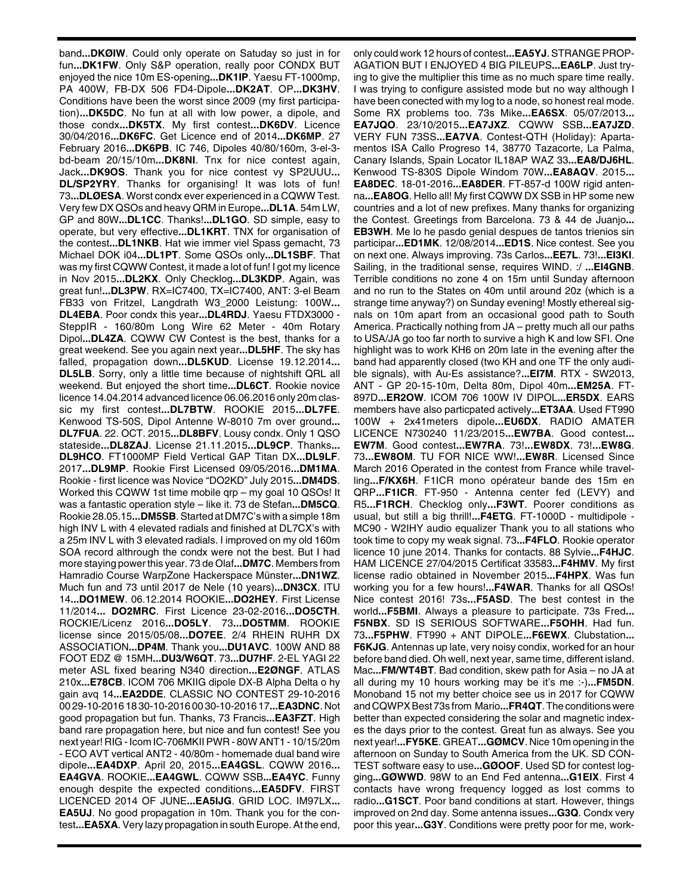band**...DKØIW**. Could only operate on Satuday so just in for fun**...DK1FW**. Only S&P operation, really poor CONDX BUT enjoyed the nice 10m ES-opening**...DK1IP**. Yaesu FT-1000mp, PA 400W, FB-DX 506 FD4-Dipole**...DK2AT**. OP**...DK3HV**. Conditions have been the worst since 2009 (my first participation)**...DK5DC**. No fun at all with low power, a dipole, and those condx**...DK5TX**. My first contest**...DK6DV**. Licence 30/04/2016**...DK6FC**. Get Licence end of 2014**...DK6MP**. 27 February 2016**...DK6PB**. IC 746, Dipoles 40/80/160m, 3-el-3 bd-beam 20/15/10m**...DK8NI**. Tnx for nice contest again, Jack**...DK9OS**. Thank you for nice contest vy SP2UUU**... DL/SP2YRY**. Thanks for organising! It was lots of fun! 73**...DLØESA**. Worst condx ever experienced in a CQWW Test. Very few DX QSOs and heavy QRM in Europe**...DL1A**. 54m LW, GP and 80W**...DL1CC**. Thanks!**...DL1GO**. SD simple, easy to operate, but very effective**...DL1KRT**. TNX for organisation of the contest**...DL1NKB**. Hat wie immer viel Spass gemacht, 73 Michael DOK i04**...DL1PT**. Some QSOs only**...DL1SBF**. That was my first CQWW Contest, it made a lot of fun! I got my licence in Nov 2015**...DL2KX**. Only Checklog**...DL3KDP**. Again, was great fun!**...DL3PW**. RX=IC7400, TX=IC7400, ANT: 3-el Beam FB33 von Fritzel, Langdrath W3\_2000 Leistung: 100W**... DL4EBA**. Poor condx this year**...DL4RDJ**. Yaesu FTDX3000 - SteppIR - 160/80m Long Wire 62 Meter - 40m Rotary Dipol**...DL4ZA**. CQWW CW Contest is the best, thanks for a great weekend. See you again next year**...DL5HF**. The sky has falled, propagation down**...DL5KUD**. License 19.12.2014**... DL5LB**. Sorry, only a little time because of nightshift QRL all weekend. But enjoyed the short time**...DL6CT**. Rookie novice licence 14.04.2014 advanced licence 06.06.2016 only 20m classic my first contest**...DL7BTW**. ROOKIE 2015**...DL7FE**. Kenwood TS-50S, Dipol Antenne W-8010 7m over ground**... DL7FUA**. 22. OCT. 2015**...DL8BFV**. Lousy condx. Only 1 QSO stateside**...DL8ZAJ**. License 21.11.2015**...DL9CP**. Thanks**... DL9HCO**. FT1000MP Field Vertical GAP Titan DX**...DL9LF**. 2017**...DL9MP**. Rookie First Licensed 09/05/2016**...DM1MA**. Rookie - first licence was Novice "DO2KD" July 2015**...DM4DS**. Worked this CQWW 1st time mobile qrp – my goal 10 QSOs! It was a fantastic operation style – like it. 73 de Stefan**...DM5CQ**. Rookie 28.05.15**...DM5SB**. Started at DM7C's with a simple 18m high INV L with 4 elevated radials and finished at DL7CX's with a 25m INV L with 3 elevated radials. I improved on my old 160m SOA record althrough the condx were not the best. But I had more staying power this year. 73 de Olaf**...DM7C**. Members from Hamradio Course WarpZone Hackerspace Münster**...DN1WZ**. Much fun and 73 until 2017 de Nele (10 years)**...DN3CX**. ITU 14**...DO1MEW**. 06.12.2014 ROOKIE**...DO2HEY**. First License 11/2014**... DO2MRC**. First Licence 23-02-2016**...DO5CTH**. ROCKIE/Licenz 2016**...DO5LY**. 73**...DO5TMM**. ROOKIE license since 2015/05/08**...DO7EE**. 2/4 RHEIN RUHR DX ASSOCIATION**...DP4M**. Thank you**...DU1AVC**. 100W AND 88 FOOT EDZ @ 15MH**...DU3/W6QT**. 73**...DU7HF**. 2-EL YAGI 22 meter ASL fixed bearing N340 direction**...E2ØNGF**. ATLAS 210x**...E78CB**. ICOM 706 MKIIG dipole DX-B Alpha Delta o hy gain avq 14**...EA2DDE**. CLASSIC NO CONTEST 29-10-2016 00 29-10-2016 18 30-10-2016 00 30-10-2016 17**...EA3DNC**. Not good propagation but fun. Thanks, 73 Francis**...EA3FZT**. High band rare propagation here, but nice and fun contest! See you next year! RIG - Icom IC-706MKII PWR - 80W ANT1 - 10/15/20m - ECO AVT vertical ANT2 - 40/80m - homemade dual band wire dipole**...EA4DXP**. April 20, 2015**...EA4GSL**. CQWW 2016**... EA4GVA**. ROOKIE**...EA4GWL**. CQWW SSB**...EA4YC**. Funny enough despite the expected conditions**...EA5DFV**. FIRST LICENCED 2014 OF JUNE**...EA5IJG**. GRID LOC. IM97LX**... EA5UJ**. No good propagation in 10m. Thank you for the contest**...EA5XA**. Very lazy propagation in south Europe. At the end,

only could work 12 hours of contest**...EA5YJ**. STRANGE PROP-AGATION BUT I ENJOYED 4 BIG PILEUPS**...EA6LP**. Just trying to give the multiplier this time as no much spare time really. I was trying to configure assisted mode but no way although I have been conected with my log to a node, so honest real mode. Some RX problems too. 73s Mike**...EA6SX**. 05/07/2013**... EA7JQO**. 23/10/2015**...EA7JXZ**. CQWW SSB**...EA7JZD**. VERY FUN 73SS**...EA7VA**. Contest-QTH (Holiday): Apartamentos ISA Callo Progreso 14, 38770 Tazacorte, La Palma, Canary Islands, Spain Locator IL18AP WAZ 33**...EA8/DJ6HL**. Kenwood TS-830S Dipole Windom 70W**...EA8AQV**. 2015**... EA8DEC**. 18-01-2016**...EA8DER**. FT-857-d 100W rigid antenna**...EA8OG**. Hello all! My first CQWW DX SSB in HP some new countries and a lot of new prefixes. Many thanks for organizing the Contest. Greetings from Barcelona. 73 & 44 de Juanjo**... EB3WH**. Me lo he pasdo genial despues de tantos trienios sin participar**...ED1MK**. 12/08/2014**...ED1S**. Nice contest. See you on next one. Always improving. 73s Carlos**...EE7L**. 73!**...EI3KI**. Sailing, in the traditional sense, requires WIND. :/ **...EI4GNB**. Terrible conditions no zone 4 on 15m until Sunday afternoon and no run to the States on 40m until around 20z (which is a strange time anyway?) on Sunday evening! Mostly ethereal signals on 10m apart from an occasional good path to South America. Practically nothing from JA – pretty much all our paths to USA/JA go too far north to survive a high K and low SFI. One highlight was to work KH6 on 20m late in the evening after the band had apparently closed (two KH and one TF the only audible signals), with Au-Es assistance?**...EI7M**. RTX - SW2013, ANT - GP 20-15-10m, Delta 80m, Dipol 40m**...EM25A**. FT-897D**...ER2OW**. ICOM 706 100W IV DIPOL**...ER5DX**. EARS members have also particpated actively**...ET3AA**. Used FT990 100W + 2x41meters dipole**...EU6DX**. RADIO AMATER LICENCE N730240 11/23/2015**...EW7BA**. Good contest**... EW7M**. Good contest**...EW7RA**. 73!**...EW8DX**. 73!**...EW8G**. 73**...EW8OM**. TU FOR NICE WW!**...EW8R**. Licensed Since March 2016 Operated in the contest from France while travelling**...F/KX6H**. F1ICR mono opérateur bande des 15m en QRP**...F1ICR**. FT-950 - Antenna center fed (LEVY) and R5**...F1RCH**. Checklog only**...F3WT**. Poorer conditions as usual, but still a big thrill!**...F4ETG**. FT-1000D - multidipole - MC90 - W2IHY audio equalizer Thank you to all stations who took time to copy my weak signal. 73**...F4FLO**. Rookie operator licence 10 june 2014. Thanks for contacts. 88 Sylvie**...F4HJC**. HAM LICENCE 27/04/2015 Certificat 33583**...F4HMV**. My first license radio obtained in November 2015**...F4HPX**. Was fun working you for a few hours!**...F4WAR**. Thanks for all QSOs! Nice contest 2016! 73s**...F5ASD**. The best contest in the world**...F5BMI**. Always a pleasure to participate. 73s Fred**... F5NBX**. SD IS SERIOUS SOFTWARE**...F5OHH**. Had fun. 73**...F5PHW**. FT990 + ANT DIPOLE**...F6EWX**. Clubstation**... F6KJG**. Antennas up late, very noisy condix, worked for an hour before band died. Oh well, next year, same time, different island. Mac**...FM/WT4BT**. Bad condition, skew path for Asia – no JA at all during my 10 hours working may be it's me :-)**...FM5DN**. Monoband 15 not my better choice see us in 2017 for CQWW and CQWPX Best 73s from Mario**...FR4QT**. The conditions were better than expected considering the solar and magnetic indexes the days prior to the contest. Great fun as always. See you next year!**...FY5KE**. GREAT**...GØMCV**. Nice 10m opening in the afternoon on Sunday to South America from the UK. SD CON-TEST software easy to use**...GØOOF**. Used SD for contest logging**...GØWWD**. 98W to an End Fed antenna**...G1EIX**. First 4 contacts have wrong frequency logged as lost comms to radio**...G1SCT**. Poor band conditions at start. However, things improved on 2nd day. Some antenna issues**...G3Q**. Condx very poor this year**...G3Y**. Conditions were pretty poor for me, work-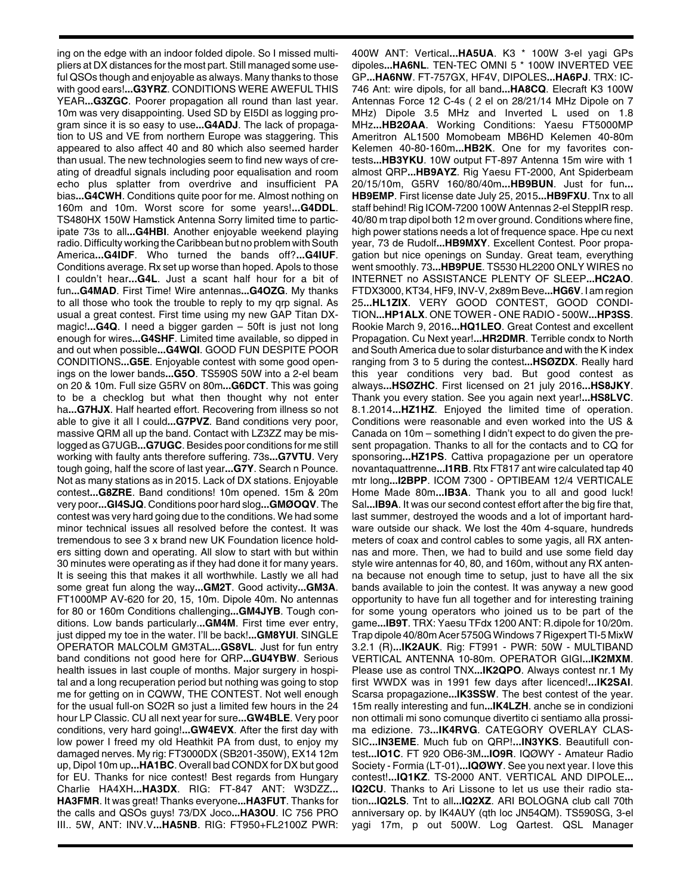ing on the edge with an indoor folded dipole. So I missed multipliers at DX distances for the most part. Still managed some useful QSOs though and enjoyable as always. Many thanks to those with good ears!**...G3YRZ**. CONDITIONS WERE AWEFUL THIS YEAR**...G3ZGC**. Poorer propagation all round than last year. 10m was very disappointing. Used SD by EI5DI as logging program since it is so easy to use**...G4ADJ**. The lack of propagation to US and VE from northern Europe was staggering. This appeared to also affect 40 and 80 which also seemed harder than usual. The new technologies seem to find new ways of creating of dreadful signals including poor equalisation and room echo plus splatter from overdrive and insufficient PA bias**...G4CWH**. Conditions quite poor for me. Almost nothing on 160m and 10m. Worst score for some years!**...G4DDL**. TS480HX 150W Hamstick Antenna Sorry limited time to participate 73s to all**...G4HBI**. Another enjoyable weekend playing radio. Difficulty working the Caribbean but no problem with South America**...G4IDF**. Who turned the bands off?**...G4IUF**. Conditions average. Rx set up worse than hoped. Apols to those I couldn't hear**...G4L**. Just a scant half hour for a bit of fun**...G4MAD**. First Time! Wire antennas**...G4OZG**. My thanks to all those who took the trouble to reply to my qrp signal. As usual a great contest. First time using my new GAP Titan DXmagic!**...G4Q**. I need a bigger garden – 50ft is just not long enough for wires**...G4SHF**. Limited time available, so dipped in and out when possible**...G4WQI**. GOOD FUN DESPITE POOR CONDITIONS**...G5E**. Enjoyable contest with some good openings on the lower bands**...G5O**. TS590S 50W into a 2-el beam on 20 & 10m. Full size G5RV on 80m**...G6DCT**. This was going to be a checklog but what then thought why not enter ha**...G7HJX**. Half hearted effort. Recovering from illness so not able to give it all I could**...G7PVZ**. Band conditions very poor, massive QRM all up the band. Contact with LZ3ZZ may be mislogged as G7UGB**...G7UGC**. Besides poor conditions for me still working with faulty ants therefore suffering. 73s**...G7VTU**. Very tough going, half the score of last year**...G7Y**. Search n Pounce. Not as many stations as in 2015. Lack of DX stations. Enjoyable contest**...G8ZRE**. Band conditions! 10m opened. 15m & 20m very poor**...GI4SJQ**. Conditions poor hard slog**...GMØOQV**. The contest was very hard going due to the conditions. We had some minor technical issues all resolved before the contest. It was tremendous to see 3 x brand new UK Foundation licence holders sitting down and operating. All slow to start with but within 30 minutes were operating as if they had done it for many years. It is seeing this that makes it all worthwhile. Lastly we all had some great fun along the way**...GM2T**. Good activity**...GM3A**. FT1000MP AV-620 for 20, 15, 10m. Dipole 40m. No antennas for 80 or 160m Conditions challenging**...GM4JYB**. Tough conditions. Low bands particularly.**..GM4M**. First time ever entry, just dipped my toe in the water. I'll be back!**...GM8YUI**. SINGLE OPERATOR MALCOLM GM3TAL**...GS8VL**. Just for fun entry band conditions not good here for QRP**...GU4YBW**. Serious health issues in last couple of months. Major surgery in hospital and a long recuperation period but nothing was going to stop me for getting on in CQWW, THE CONTEST. Not well enough for the usual full-on SO2R so just a limited few hours in the 24 hour LP Classic. CU all next year for sure**...GW4BLE**. Very poor conditions, very hard going!**...GW4EVX**. After the first day with low power I freed my old Heathkit PA from dust, to enjoy my damaged nerves. My rig: FT3000DX (SB201-350W), EX14 12m up, Dipol 10m up**...HA1BC**. Overall bad CONDX for DX but good for EU. Thanks for nice contest! Best regards from Hungary Charlie HA4XH**...HA3DX**. RIG: FT-847 ANT: W3DZZ**... HA3FMR**. It was great! Thanks everyone**...HA3FUT**. Thanks for the calls and QSOs guys! 73/DX Joco**...HA3OU**. IC 756 PRO III.. 5W, ANT: INV.V**...HA5NB**. RIG: FT950+FL2100Z PWR:

400W ANT: Vertical**...HA5UA**. K3 \* 100W 3-el yagi GPs dipoles**...HA6NL**. TEN-TEC OMNI 5 \* 100W INVERTED VEE GP**...HA6NW**. FT-757GX, HF4V, DIPOLES**...HA6PJ**. TRX: IC-746 Ant: wire dipols, for all band**...HA8CQ**. Elecraft K3 100W Antennas Force 12 C-4s ( 2 el on 28/21/14 MHz Dipole on 7 MHz) Dipole 3.5 MHz and Inverted L used on 1.8 MHz**...HB2ØAA**. Working Conditions: Yaesu FT5000MP Ameritron AL1500 Momobeam MB6HD Kelemen 40-80m Kelemen 40-80-160m**...HB2K**. One for my favorites contests**...HB3YKU**. 10W output FT-897 Antenna 15m wire with 1 almost QRP**...HB9AYZ**. Rig Yaesu FT-2000, Ant Spiderbeam 20/15/10m, G5RV 160/80/40m**...HB9BUN**. Just for fun**... HB9EMP**. First license date July 25, 2015**...HB9FXU**. Tnx to all staff behind! Rig ICOM-7200 100W Antennas 2-el SteppIR resp. 40/80 m trap dipol both 12 m over ground. Conditions where fine, high power stations needs a lot of frequence space. Hpe cu next year, 73 de Rudolf**...HB9MXY**. Excellent Contest. Poor propagation but nice openings on Sunday. Great team, everything went smoothly. 73**...HB9PUE**. TS530 HL2200 ONLY WIRES no INTERNET no ASSISTANCE PLENTY OF SLEEP**...HC2AO**. FTDX3000, KT34, HF9, INV-V, 2x89m Beve**...HG6V**. I am region 25**...HL1ZIX**. VERY GOOD CONTEST, GOOD CONDI-TION**...HP1ALX**. ONE TOWER - ONE RADIO - 500W**...HP3SS**. Rookie March 9, 2016**...HQ1LEO**. Great Contest and excellent Propagation. Cu Next year!**...HR2DMR**. Terrible condx to North and South America due to solar disturbance and with the K index ranging from 3 to 5 during the contest**...HSØZDX**. Really hard this year conditions very bad. But good contest as always**...HSØZHC**. First licensed on 21 july 2016**...HS8JKY**. Thank you every station. See you again next year!**...HS8LVC**. 8.1.2014**...HZ1HZ**. Enjoyed the limited time of operation. Conditions were reasonable and even worked into the US & Canada on 10m – something I didn't expect to do given the present propagation. Thanks to all for the contacts and to CQ for sponsoring**...HZ1PS**. Cattiva propagazione per un operatore novantaquattrenne**...I1RB**. Rtx FT817 ant wire calculated tap 40 mtr long**...I2BPP**. ICOM 7300 - OPTIBEAM 12/4 VERTICALE Home Made 80m**...IB3A**. Thank you to all and good luck! Sal**...IB9A**. It was our second contest effort after the big fire that, last summer, destroyed the woods and a lot of important hardware outside our shack. We lost the 40m 4-square, hundreds meters of coax and control cables to some yagis, all RX antennas and more. Then, we had to build and use some field day style wire antennas for 40, 80, and 160m, without any RX antenna because not enough time to setup, just to have all the six bands available to join the contest. It was anyway a new good opportunity to have fun all together and for interesting training for some young operators who joined us to be part of the game**...IB9T**. TRX: Yaesu TFdx 1200 ANT: R.dipole for 10/20m. Trap dipole 40/80m Acer 5750G Windows 7 Rigexpert TI-5 MixW 3.2.1 (R)**...IK2AUK**. Rig: FT991 - PWR: 50W - MULTIBAND VERTICAL ANTENNA 10-80m. OPERATOR GIGI**...IK2MXM**. Please use as control TNX**...IK2QPO**. Always contest nr.1 My first WWDX was in 1991 few days after licenced!**...IK2SAI**. Scarsa propagazione**...IK3SSW**. The best contest of the year. 15m really interesting and fun**...IK4LZH**. anche se in condizioni non ottimali mi sono comunque divertito ci sentiamo alla prossima edizione. 73**...IK4RVG**. CATEGORY OVERLAY CLAS-SIC**...IN3EME**. Much fub on QRP!**...IN3YKS**. Beautifull contest**...IO1C**. FT 920 OB6-3M**...IO9R**. IQØWY - Amateur Radio Society - Formia (LT-01)**...IQØWY**. See you next year. I love this contest!**...IQ1KZ**. TS-2000 ANT. VERTICAL AND DIPOLE**... IQ2CU**. Thanks to Ari Lissone to let us use their radio station**...IQ2LS**. Tnt to all**...IQ2XZ**. ARI BOLOGNA club call 70th anniversary op. by IK4AUY (qth loc JN54QM). TS590SG, 3-el yagi 17m, p out 500W. Log Qartest. QSL Manager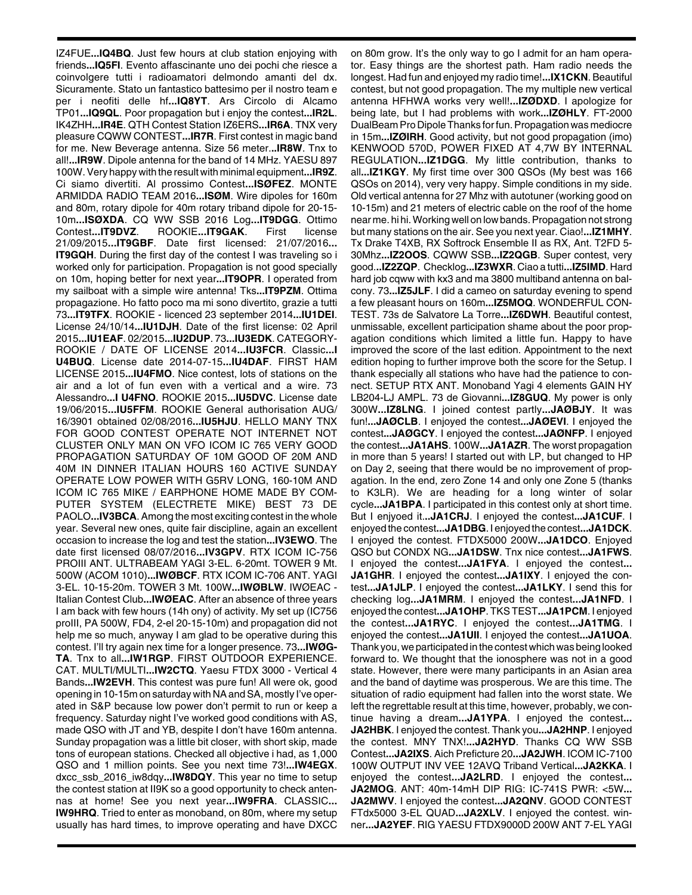IZ4FUE**...IQ4BQ**. Just few hours at club station enjoying with friends**...IQ5FI**. Evento affascinante uno dei pochi che riesce a coinvolgere tutti i radioamatori delmondo amanti del dx. Sicuramente. Stato un fantastico battesimo per il nostro team e per i neofiti delle hf**...IQ8YT**. Ars Circolo di Alcamo TP01**...IQ9QL**. Poor propagation but i enjoy the contest**...IR2L**. IK4ZHH**...IR4E**. QTH Contest Station IZ6ERS**...IR6A**. TNX very pleasure CQWW CONTEST**...IR7R**. First contest in magic band for me. New Beverage antenna. Size 56 meter.**..IR8W**. Tnx to all!**...IR9W**. Dipole antenna for the band of 14 MHz. YAESU 897 100W. Very happy with the result with minimal equipment**...IR9Z**. Ci siamo divertiti. Al prossimo Contest**...ISØFEZ**. MONTE ARMIDDA RADIO TEAM 2016**...ISØM**. Wire dipoles for 160m and 80m, rotary dipole for 40m rotary triband dipole for 20-15- 10m**...ISØXDA**. CQ WW SSB 2016 Log**...IT9DGG**. Ottimo Contest**...IT9DVZ**. ROOKIE**...IT9GAK**. First license 21/09/2015**...IT9GBF**. Date first licensed: 21/07/2016**... IT9GQH**. During the first day of the contest I was traveling so i worked only for participation. Propagation is not good specially on 10m, hoping better for next year**...IT9OPR**. I operated from my sailboat with a simple wire antenna! Tks**...IT9PZM**. Ottima propagazione. Ho fatto poco ma mi sono divertito, grazie a tutti 73**...IT9TFX**. ROOKIE - licenced 23 september 2014**...IU1DEI**. License 24/10/14**...IU1DJH**. Date of the first license: 02 April 2015**...IU1EAF**. 02/2015**...IU2DUP**. 73**...IU3EDK**. CATEGORY-ROOKIE / DATE OF LICENSE 2014**...IU3FCR**. Classic**...I U4BUQ**. License date 2014-07-15**...IU4DAF**. FIRST HAM LICENSE 2015**...IU4FMO**. Nice contest, lots of stations on the air and a lot of fun even with a vertical and a wire. 73 Alessandro**...I U4FNO**. ROOKIE 2015**...IU5DVC**. License date 19/06/2015**...IU5FFM**. ROOKIE General authorisation AUG/ 16/3901 obtained 02/08/2016**...IU5HJU**. HELLO MANY TNX FOR GOOD CONTEST OPERATE NOT INTERNET NOT CLUSTER ONLY MAN ON VFO ICOM IC 765 VERY GOOD PROPAGATION SATURDAY OF 10M GOOD OF 20M AND 40M IN DINNER ITALIAN HOURS 160 ACTIVE SUNDAY OPERATE LOW POWER WITH G5RV LONG, 160-10M AND ICOM IC 765 MIKE / EARPHONE HOME MADE BY COM-PUTER SYSTEM (ELECTRETE MIKE) BEST 73 DE PAOLO**...IV3BCA**. Among the most exciting contest in the whole year. Several new ones, quite fair discipline, again an excellent occasion to increase the log and test the station**...IV3EWO**. The date first licensed 08/07/2016**...IV3GPV**. RTX ICOM IC-756 PROIII ANT. ULTRABEAM YAGI 3-EL. 6-20mt. TOWER 9 Mt. 500W (ACOM 1010)**...IWØBCF**. RTX ICOM IC-706 ANT. YAGI 3-EL. 10-15-20m. TOWER 3 Mt. 100W**...IWØBLW**. IWØEAC - Italian Contest Club**...IWØEAC**. After an absence of three years I am back with few hours (14h ony) of activity. My set up (IC756 proIII, PA 500W, FD4, 2-el 20-15-10m) and propagation did not help me so much, anyway I am glad to be operative during this contest. I'll try again nex time for a longer presence. 73**...IWØG-TA**. Tnx to all**...IW1RGP**. FIRST OUTDOOR EXPERIENCE. CAT. MULTI/MULTI**...IW2CTQ**. Yaesu FTDX 3000 - Vertical 4 Bands**...IW2EVH**. This contest was pure fun! All were ok, good opening in 10-15m on saturday with NA and SA, mostly I've operated in S&P because low power don't permit to run or keep a frequency. Saturday night I've worked good conditions with AS, made QSO with JT and YB, despite I don't have 160m antenna. Sunday propagation was a little bit closer, with short skip, made tons of european stations. Checked all objective i had, as 1,000 QSO and 1 million points. See you next time 73!**...IW4EGX**. dxcc\_ssb\_2016\_iw8dqy**...IW8DQY**. This year no time to setup the contest station at II9K so a good opportunity to check antennas at home! See you next year**...IW9FRA**. CLASSIC**... IW9HRQ**. Tried to enter as monoband, on 80m, where my setup usually has hard times, to improve operating and have DXCC

on 80m grow. It's the only way to go I admit for an ham operator. Easy things are the shortest path. Ham radio needs the longest. Had fun and enjoyed my radio time!**...IX1CKN**. Beautiful contest, but not good propagation. The my multiple new vertical antenna HFHWA works very well!**...IZØDXD**. I apologize for being late, but I had problems with work**...IZØHLY**. FT-2000 DualBeam Pro Dipole Thanks for fun. Propagation was mediocre in 15m**...IZØIRH**. Good activity, but not good propagation (imo) KENWOOD 570D, POWER FIXED AT 4,7W BY INTERNAL REGULATION**...IZ1DGG**. My little contribution, thanks to all**...IZ1KGY**. My first time over 300 QSOs (My best was 166 QSOs on 2014), very very happy. Simple conditions in my side. Old vertical antenna for 27 Mhz with autotuner (working good on 10-15m) and 21 meters of electric cable on the roof of the home near me. hi hi. Working well on low bands. Propagation not strong but many stations on the air. See you next year. Ciao!**...IZ1MHY**. Tx Drake T4XB, RX Softrock Ensemble II as RX, Ant. T2FD 5- 30Mhz**...IZ2OOS**. CQWW SSB**...IZ2QGB**. Super contest, very good.**..IZ2ZQP**. Checklog**...IZ3WXR**. Ciao a tutti**...IZ5IMD**. Hard hard job cqww with kx3 and ma 3800 multiband antenna on balcony. 73**...IZ5JLF**. I did a cameo on saturday evening to spend a few pleasant hours on 160m**...IZ5MOQ**. WONDERFUL CON-TEST. 73s de Salvatore La Torre**...IZ6DWH**. Beautiful contest, unmissable, excellent participation shame about the poor propagation conditions which limited a little fun. Happy to have improved the score of the last edition. Appointment to the next edition hoping to further improve both the score for the Setup. I thank especially all stations who have had the patience to connect. SETUP RTX ANT. Monoband Yagi 4 elements GAIN HY LB204-LJ AMPL. 73 de Giovanni**...IZ8GUQ**. My power is only 300W**...IZ8LNG**. I joined contest partly**...JAØBJY**. It was fun!**...JAØCLB**. I enjoyed the contest**...JAØEVI**. I enjoyed the contest**...JAØGCY**. I enjoyed the contest**...JAØNFP**. I enjoyed the contest**...JA1AHS**. 100W**...JA1AZR**. The worst propagation in more than 5 years! I started out with LP, but changed to HP on Day 2, seeing that there would be no improvement of propagation. In the end, zero Zone 14 and only one Zone 5 (thanks to K3LR). We are heading for a long winter of solar cycle**...JA1BPA**. I participated in this contest only at short time. But I enjyoed it.**..JA1CRJ**. I enjoyed the contest**...JA1CUF**. I enjoyed the contest**...JA1DBG**. I enjoyed the contest**...JA1DCK**. I enjoyed the contest. FTDX5000 200W**...JA1DCO**. Enjoyed QSO but CONDX NG**...JA1DSW**. Tnx nice contest**...JA1FWS**. I enjoyed the contest**...JA1FYA**. I enjoyed the contest**... JA1GHR**. I enjoyed the contest**...JA1IXY**. I enjoyed the contest**...JA1JLP**. I enjoyed the contest**...JA1LKY**. I send this for checking log**...JA1MRM**. I enjoyed the contest**...JA1NFD**. I enjoyed the contest**...JA1OHP**. TKS TEST**...JA1PCM**. I enjoyed the contest**...JA1RYC**. I enjoyed the contest**...JA1TMG**. I enjoyed the contest**...JA1UII**. I enjoyed the contest**...JA1UOA**. Thank you, we participated in the contest which was being looked forward to. We thought that the ionosphere was not in a good state. However, there were many participants in an Asian area and the band of daytime was prosperous. We are this time. The situation of radio equipment had fallen into the worst state. We left the regrettable result at this time, however, probably, we continue having a dream**...JA1YPA**. I enjoyed the contest**... JA2HBK**. I enjoyed the contest. Thank you**...JA2HNP**. I enjoyed the contest. MNY TNX!**...JA2HYD**. Thanks CQ WW SSB Contest**...JA2IXS**. Aich Preficture 20**...JA2JWH**. ICOM IC-7100 100W OUTPUT INV VEE 12AVQ Triband Vertical**...JA2KKA**. I enjoyed the contest**...JA2LRD**. I enjoyed the contest**... JA2MOG**. ANT: 40m-14mH DIP RIG: IC-741S PWR: <5W**... JA2MWV**. I enjoyed the contest**...JA2QNV**. GOOD CONTEST FTdx5000 3-EL QUAD**...JA2XLV**. I enjoyed the contest. winner**...JA2YEF**. RIG YAESU FTDX9000D 200W ANT 7-EL YAGI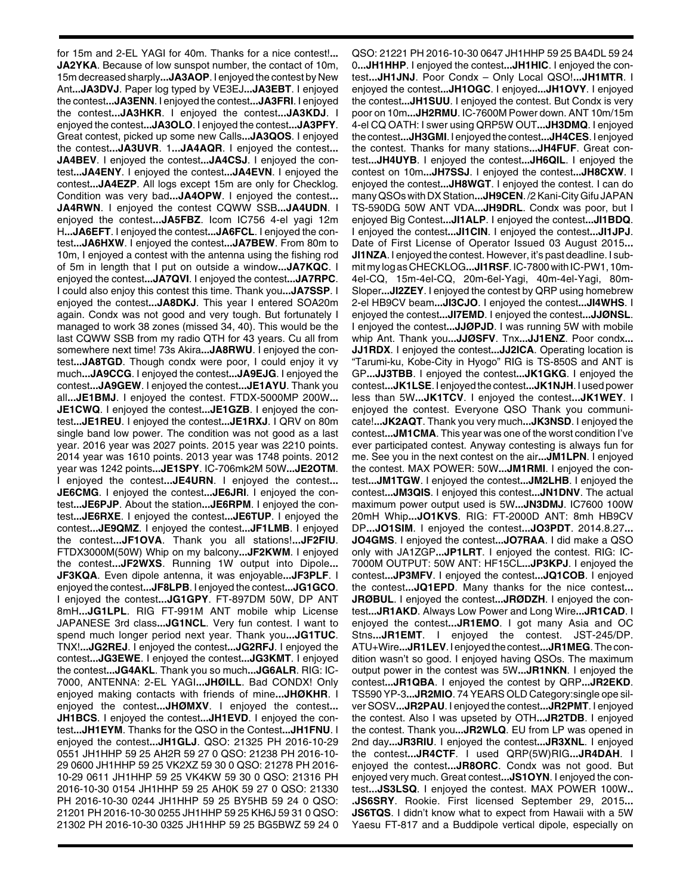for 15m and 2-EL YAGI for 40m. Thanks for a nice contest!**... JA2YKA**. Because of low sunspot number, the contact of 10m, 15m decreased sharply**...JA3AOP**. I enjoyed the contest by New Ant**...JA3DVJ**. Paper log typed by VE3EJ**...JA3EBT**. I enjoyed the contest**...JA3ENN**. I enjoyed the contest**...JA3FRI**. I enjoyed the contest**...JA3HKR**. I enjoyed the contest**...JA3KDJ**. I enjoyed the contest**...JA3OLO**. I enjoyed the contest**...JA3PFY**. Great contest, picked up some new Calls**...JA3QOS**. I enjoyed the contest**...JA3UVR**. 1**...JA4AQR**. I enjoyed the contest**... JA4BEV**. I enjoyed the contest**...JA4CSJ**. I enjoyed the contest**...JA4ENY**. I enjoyed the contest**...JA4EVN**. I enjoyed the contest**...JA4EZP**. All logs except 15m are only for Checklog. Condition was very bad**...JA4OPW**. I enjoyed the contest**... JA4RWN**. I enjoyed the contest CQWW SSB**...JA4UDN**. I enjoyed the contest**...JA5FBZ**. Icom IC756 4-el yagi 12m H**...JA6EFT**. I enjoyed the contest**...JA6FCL**. I enjoyed the contest**...JA6HXW**. I enjoyed the contest**...JA7BEW**. From 80m to 10m, I enjoyed a contest with the antenna using the fishing rod of 5m in length that I put on outside a window**...JA7KQC**. I enjoyed the contest**...JA7QVI**. I enjoyed the contest**...JA7RPC**. I could also enjoy this contest this time. Thank you**...JA7SSP**. I enjoyed the contest**...JA8DKJ**. This year I entered SOA20m again. Condx was not good and very tough. But fortunately I managed to work 38 zones (missed 34, 40). This would be the last CQWW SSB from my radio QTH for 43 years. Cu all from somewhere next time! 73s Akira**...JA8RWU**. I enjoyed the contest**...JA8TGD**. Though condx were poor, I could enjoy it vy much**...JA9CCG**. I enjoyed the contest**...JA9EJG**. I enjoyed the contest**...JA9GEW**. I enjoyed the contest**...JE1AYU**. Thank you all**...JE1BMJ**. I enjoyed the contest. FTDX-5000MP 200W**... JE1CWQ**. I enjoyed the contest**...JE1GZB**. I enjoyed the contest**...JE1REU**. I enjoyed the contest**...JE1RXJ**. I QRV on 80m single band low power. The condition was not good as a last year. 2016 year was 2027 points. 2015 year was 2210 points. 2014 year was 1610 points. 2013 year was 1748 points. 2012 year was 1242 points**...JE1SPY**. IC-706mk2M 50W**...JE2OTM**. I enjoyed the contest**...JE4URN**. I enjoyed the contest**... JE6CMG**. I enjoyed the contest**...JE6JRI**. I enjoyed the contest**...JE6PJP**. About the station**...JE6RPM**. I enjoyed the contest**...JE6RXE**. I enjoyed the contest**...JE6TUP**. I enjoyed the contest**...JE9QMZ**. I enjoyed the contest**...JF1LMB**. I enjoyed the contest**...JF1OVA**. Thank you all stations!**...JF2FIU**. FTDX3000M(50W) Whip on my balcony**...JF2KWM**. I enjoyed the contest**...JF2WXS**. Running 1W output into Dipole**... JF3KQA**. Even dipole antenna, it was enjoyable**...JF3PLF**. I enjoyed the contest**...JF8LPB**. I enjoyed the contest**...JG1GCO**. I enjoyed the contest**...JG1GPY**. FT-897DM 50W, DP ANT 8mH**...JG1LPL**. RIG FT-991M ANT mobile whip License JAPANESE 3rd class**...JG1NCL**. Very fun contest. I want to spend much longer period next year. Thank you**...JG1TUC**. TNX!**...JG2REJ**. I enjoyed the contest**...JG2RFJ**. I enjoyed the contest**...JG3EWE**. I enjoyed the contest**...JG3KMT**. I enjoyed the contest**...JG4AKL**. Thank you so much**...JG6ALR**. RIG: IC-7000, ANTENNA: 2-EL YAGI**...JHØILL**. Bad CONDX! Only enjoyed making contacts with friends of mine**...JHØKHR**. I enjoyed the contest**...JHØMXV**. I enjoyed the contest**... JH1BCS**. I enjoyed the contest**...JH1EVD**. I enjoyed the contest**...JH1EYM**. Thanks for the QSO in the Contest**...JH1FNU**. I enjoyed the contest**...JH1GLJ**. QSO: 21325 PH 2016-10-29 0551 JH1HHP 59 25 AH2R 59 27 0 QSO: 21238 PH 2016-10- 29 0600 JH1HHP 59 25 VK2XZ 59 30 0 QSO: 21278 PH 2016- 10-29 0611 JH1HHP 59 25 VK4KW 59 30 0 QSO: 21316 PH 2016-10-30 0154 JH1HHP 59 25 AH0K 59 27 0 QSO: 21330 PH 2016-10-30 0244 JH1HHP 59 25 BY5HB 59 24 0 QSO: 21201 PH 2016-10-30 0255 JH1HHP 59 25 KH6J 59 31 0 QSO: 21302 PH 2016-10-30 0325 JH1HHP 59 25 BG5BWZ 59 24 0

QSO: 21221 PH 2016-10-30 0647 JH1HHP 59 25 BA4DL 59 24 0**...JH1HHP**. I enjoyed the contest**...JH1HIC**. I enjoyed the contest**...JH1JNJ**. Poor Condx – Only Local QSO!**...JH1MTR**. I enjoyed the contest**...JH1OGC**. I enjoyed**...JH1OVY**. I enjoyed the contest**...JH1SUU**. I enjoyed the contest. But Condx is very poor on 10m**...JH2RMU**. IC-7600M Power down. ANT 10m/15m 4-el CQ OATH: I swer using QRP5W OUT**...JH3DMQ**. I enjoyed the contest**...JH3GMI**. I enjoyed the contest**...JH4CES**. I enjoyed the contest. Thanks for many stations**...JH4FUF**. Great contest**...JH4UYB**. I enjoyed the contest**...JH6QIL**. I enjoyed the contest on 10m**...JH7SSJ**. I enjoyed the contest**...JH8CXW**. I enjoyed the contest**...JH8WGT**. I enjoyed the contest. I can do many QSOs with DX Station**...JH9CEN**. /2 Kani-City Gifu JAPAN TS-590DG 50W ANT VDA**...JH9DRL**. Condx was poor, but I enjoyed Big Contest**...JI1ALP**. I enjoyed the contest**...JI1BDQ**. I enjoyed the contest**...JI1CIN**. I enjoyed the contest**...JI1JPJ**. Date of First License of Operator Issued 03 August 2015**... JI1NZA**. I enjoyed the contest. However, it's past deadline. I submit my log as CHECKLOG**...JI1RSF**. IC-7800 with IC-PW1, 10m-4el-CQ, 15m-4el-CQ, 20m-6el-Yagi, 40m-4el-Yagi, 80m-Sloper**...JI2ZEY**. I enjoyed the contest by QRP using homebrew 2-el HB9CV beam**...JI3CJO**. I enjoyed the contest**...JI4WHS**. I enjoyed the contest**...JI7EMD**. I enjoyed the contest**...JJØNSL**. I enjoyed the contest**...JJØPJD**. I was running 5W with mobile whip Ant. Thank you**...JJØSFV**. Tnx**...JJ1ENZ**. Poor condx**... JJ1RDX**. I enjoyed the contest**...JJ2ICA**. Operating location is "Tarumi-ku, Kobe-City in Hyogo" RIG is TS-850S and ANT is GP**...JJ3TBB**. I enjoyed the contest**...JK1GKG**. I enjoyed the contest**...JK1LSE**. I enjoyed the contest**...JK1NJH**. I used power less than 5W**...JK1TCV**. I enjoyed the contest**...JK1WEY**. I enjoyed the contest. Everyone QSO Thank you communicate!**...JK2AQT**. Thank you very much**...JK3NSD**. I enjoyed the contest**...JM1CMA**. This year was one of the worst condition I've ever participated contest. Anyway contesting is always fun for me. See you in the next contest on the air**...JM1LPN**. I enjoyed the contest. MAX POWER: 50W**...JM1RMI**. I enjoyed the contest**...JM1TGW**. I enjoyed the contest**...JM2LHB**. I enjoyed the contest**...JM3QIS**. I enjoyed this contest**...JN1DNV**. The actual maximum power output used is 5W**...JN3DMJ**. IC7600 100W 20mH Whip**...JO1KVS**. RIG: FT-2000D ANT: 8mh HB9CV DP**...JO1SIM**. I enjoyed the contest**...JO3PDT**. 2014.8.27**... JO4GMS**. I enjoyed the contest**...JO7RAA**. I did make a QSO only with JA1ZGP**...JP1LRT**. I enjoyed the contest. RIG: IC-7000M OUTPUT: 50W ANT: HF15CL**...JP3KPJ**. I enjoyed the contest**...JP3MFV**. I enjoyed the contest**...JQ1COB**. I enjoyed the contest**...JQ1EPD**. Many thanks for the nice contest**... JRØBUL**. I enjoyed the contest**...JRØDZH**. I enjoyed the contest**...JR1AKD**. Always Low Power and Long Wire**...JR1CAD**. I enjoyed the contest**...JR1EMO**. I got many Asia and OC Stns**...JR1EMT**. I enjoyed the contest. JST-245/DP. ATU+Wire**...JR1LEV**. I enjoyed the contest**...JR1MEG**. The condition wasn't so good. I enjoyed having QSOs. The maximum output power in the contest was 5W**...JR1NKN**. I enjoyed the contest**...JR1QBA**. I enjoyed the contest by QRP**...JR2EKD**. TS590 YP-3**...JR2MIO**. 74 YEARS OLD Category:single ope silver SOSV**...JR2PAU**. I enjoyed the contest**...JR2PMT**. I enjoyed the contest. Also I was upseted by OTH**...JR2TDB**. I enjoyed the contest. Thank you**...JR2WLQ**. EU from LP was opened in 2nd day**...JR3RIU**. I enjoyed the contest**...JR3XNL**. I enjoyed the contest**...JR4CTF**. I used QRP(5W)RIG**...JR4DAH**. I enjoyed the contest**...JR8ORC**. Condx was not good. But enjoyed very much. Great contest**...JS1OYN**. I enjoyed the contest**...JS3LSQ**. I enjoyed the contest. MAX POWER 100W**.. .JS6SRY**. Rookie. First licensed September 29, 2015**... JS6TQS**. I didn't know what to expect from Hawaii with a 5W Yaesu FT-817 and a Buddipole vertical dipole, especially on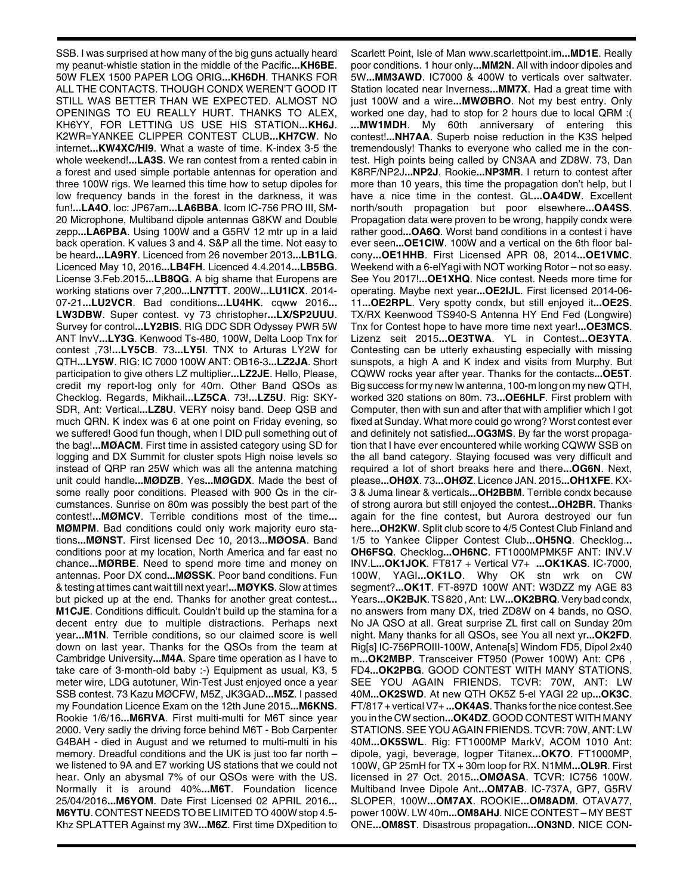SSB. I was surprised at how many of the big guns actually heard my peanut-whistle station in the middle of the Pacific**...KH6BE**. 50W FLEX 1500 PAPER LOG ORIG**...KH6DH**. THANKS FOR ALL THE CONTACTS. THOUGH CONDX WEREN'T GOOD IT STILL WAS BETTER THAN WE EXPECTED. ALMOST NO OPENINGS TO EU REALLY HURT. THANKS TO ALEX, KH6YY, FOR LETTING US USE HIS STATION**...KH6J**. K2WR=YANKEE CLIPPER CONTEST CLUB**...KH7CW**. No internet**...KW4XC/HI9**. What a waste of time. K-index 3-5 the whole weekend!**...LA3S**. We ran contest from a rented cabin in a forest and used simple portable antennas for operation and three 100W rigs. We learned this time how to setup dipoles for low frequency bands in the forest in the darkness, it was fun!**...LA4O**. loc: JP67am**...LA6BBA**. Icom IC-756 PRO III, SM-20 Microphone, Multiband dipole antennas G8KW and Double zepp**...LA6PBA**. Using 100W and a G5RV 12 mtr up in a laid back operation. K values 3 and 4. S&P all the time. Not easy to be heard**...LA9RY**. Licenced from 26 november 2013**...LB1LG**. Licenced May 10, 2016**...LB4FH**. Licenced 4.4.2014**...LB5BG**. License 3.Feb.2015**...LB8QG**. A big shame that Europens are working stations over 7,200**...LN7TTT**. 200W**...LU1ICX**. 2014- 07-21**...LU2VCR**. Bad conditions**...LU4HK**. cqww 2016**... LW3DBW**. Super contest. vy 73 christopher**...LX/SP2UUU**. Survey for control**...LY2BIS**. RIG DDC SDR Odyssey PWR 5W ANT InvV**...LY3G**. Kenwood Ts-480, 100W, Delta Loop Tnx for contest ,73!**...LY5CB**. 73**...LY5I**. TNX to Arturas LY2W for QTH**...LY5W**. RIG: IC 7000 100W ANT: OB16-3**...LZ2JA**. Short participation to give others LZ multiplier**...LZ2JE**. Hello, Please, credit my report-log only for 40m. Other Band QSOs as Checklog. Regards, Mikhail**...LZ5CA**. 73!**...LZ5U**. Rig: SKY-SDR, Ant: Vertical**...LZ8U**. VERY noisy band. Deep QSB and much QRN. K index was 6 at one point on Friday evening, so we suffered! Good fun though, when I DID pull something out of the bag!**...MØACM**. First time in assisted category using SD for logging and DX Summit for cluster spots High noise levels so instead of QRP ran 25W which was all the antenna matching unit could handle**...MØDZB**. Yes**...MØGDX**. Made the best of some really poor conditions. Pleased with 900 Qs in the circumstances. Sunrise on 80m was possibly the best part of the contest!**...MØMCV**. Terrible conditions most of the time**... MØMPM**. Bad conditions could only work majority euro stations**...MØNST**. First licensed Dec 10, 2013**...MØOSA**. Band conditions poor at my location, North America and far east no chance**...MØRBE**. Need to spend more time and money on antennas. Poor DX cond**...MØSSK**. Poor band conditions. Fun & testing at times cant wait till next year!**...MØYKS**. Slow at times but picked up at the end. Thanks for another great contest**... M1CJE**. Conditions difficult. Couldn't build up the stamina for a decent entry due to multiple distractions. Perhaps next year**...M1N**. Terrible conditions, so our claimed score is well down on last year. Thanks for the QSOs from the team at Cambridge University**...M4A**. Spare time operation as I have to take care of 3-month-old baby :-) Equipment as usual, K3, 5 meter wire, LDG autotuner, Win-Test Just enjoyed once a year SSB contest. 73 Kazu MØCFW, M5Z, JK3GAD**...M5Z**. I passed my Foundation Licence Exam on the 12th June 2015**...M6KNS**. Rookie 1/6/16**...M6RVA**. First multi-multi for M6T since year 2000. Very sadly the driving force behind M6T - Bob Carpenter G4BAH - died in August and we returned to multi-multi in his memory. Dreadful conditions and the UK is just too far north – we listened to 9A and E7 working US stations that we could not hear. Only an abysmal 7% of our QSOs were with the US. Normally it is around 40%**...M6T**. Foundation licence 25/04/2016**...M6YOM**. Date First Licensed 02 APRIL 2016**... M6YTU**. CONTEST NEEDS TO BE LIMITED TO 400W stop 4.5- Khz SPLATTER Against my 3W**...M6Z**. First time DXpedition to

Scarlett Point, Isle of Man www.scarlettpoint.im**...MD1E**. Really poor conditions. 1 hour only**...MM2N**. All with indoor dipoles and 5W**...MM3AWD**. IC7000 & 400W to verticals over saltwater. Station located near Inverness**...MM7X**. Had a great time with just 100W and a wire**...MWØBRO**. Not my best entry. Only worked one day, had to stop for 2 hours due to local QRM :( **...MW1MDH**. My 60th anniversary of entering this contest!**...NH7AA**. Superb noise reduction in the K3S helped tremendously! Thanks to everyone who called me in the contest. High points being called by CN3AA and ZD8W. 73, Dan K8RF/NP2J**...NP2J**. Rookie**...NP3MR**. I return to contest after more than 10 years, this time the propagation don't help, but I have a nice time in the contest. GL**...OA4DW**. Excellent north/south propagation but poor elsewhere**...OA4SS**. Propagation data were proven to be wrong, happily condx were rather good**...OA6Q**. Worst band conditions in a contest i have ever seen**...OE1CIW**. 100W and a vertical on the 6th floor balcony**...OE1HHB**. First Licensed APR 08, 2014**...OE1VMC**. Weekend with a 6-elYagi with NOT working Rotor – not so easy. See You 2017!**...OE1XHQ**. Nice contest. Needs more time for operating. Maybe next year**...OE2IJL**. First licensed 2014-06- 11**...OE2RPL**. Very spotty condx, but still enjoyed it**...OE2S**. TX/RX Keenwood TS940-S Antenna HY End Fed (Longwire) Tnx for Contest hope to have more time next year!**...OE3MCS**. Lizenz seit 2015**...OE3TWA**. YL in Contest**...OE3YTA**. Contesting can be utterly exhausting especially with missing sunspots, a high A and K index and visits from Murphy. But CQWW rocks year after year. Thanks for the contacts**...OE5T**. Big success for my new lw antenna, 100-m long on my new QTH, worked 320 stations on 80m. 73**...OE6HLF**. First problem with Computer, then with sun and after that with amplifier which I got fixed at Sunday. What more could go wrong? Worst contest ever and definitely not satisfied**...OG3MS**. By far the worst propagation that I have ever encountered while working CQWW SSB on the all band category. Staying focused was very difficult and required a lot of short breaks here and there**...OG6N**. Next, please**...OHØX**. 73**...OHØZ**. Licence JAN. 2015**...OH1XFE**. KX-3 & Juma linear & verticals**...OH2BBM**. Terrible condx because of strong aurora but still enjoyed the contest**...OH2BR**. Thanks again for the fine contest, but Aurora destroyed our fun here**...OH2KW**. Split club score to 4/5 Contest Club Finland and 1/5 to Yankee Clipper Contest Club**...OH5NQ**. Checklog.**.. OH6FSQ**. Checklog**...OH6NC**. FT1000MPMK5F ANT: INV.V INV.L**...OK1JOK**. FT817 + Vertical V7+ **...OK1KAS**. IC-7000, 100W, YAGI**...OK1LO**. Why OK stn wrk on CW segment?**...OK1T**. FT-897D 100W ANT: W3DZZ my AGE 83 Years**...OK2BJK**. TS 820 , Ant: LW**...OK2BRQ**. Very bad condx, no answers from many DX, tried ZD8W on 4 bands, no QSO. No JA QSO at all. Great surprise ZL first call on Sunday 20m night. Many thanks for all QSOs, see You all next yr**...OK2FD**. Rig[s] IC-756PROIII-100W, Antena[s] Windom FD5, Dipol 2x40 m**...OK2MBP**. Transceiver FT950 (Power 100W) Ant: CP6 , FD4**...OK2PBG**. GOOD CONTEST WITH MANY STATIONS. SEE YOU AGAIN FRIENDS. TCVR: 70W, ANT: LW 40M**...OK2SWD**. At new QTH OK5Z 5-el YAGI 22 up**...OK3C**. FT/817 + vertical V7+ **...OK4AS**. Thanks for the nice contest.See you in the CW section**...OK4DZ**. GOOD CONTEST WITH MANY STATIONS. SEE YOU AGAIN FRIENDS. TCVR: 70W, ANT: LW 40M**...OK5SWL**. Rig: FT1000MP MarkV, ACOM 1010 Ant: dipole, yagi, beverage, logper Titanex**...OK7O**. FT1000MP, 100W, GP 25mH for TX + 30m loop for RX. N1MM**...OL9R**. First licensed in 27 Oct. 2015**...OMØASA**. TCVR: IC756 100W. Multiband Invee Dipole Ant**...OM7AB**. IC-737A, GP7, G5RV SLOPER, 100W**...OM7AX**. ROOKIE**...OM8ADM**. OTAVA77, power 100W. LW 40m**...OM8AHJ**. NICE CONTEST – MY BEST ONE**...OM8ST**. Disastrous propagation**...ON3ND**. NICE CON-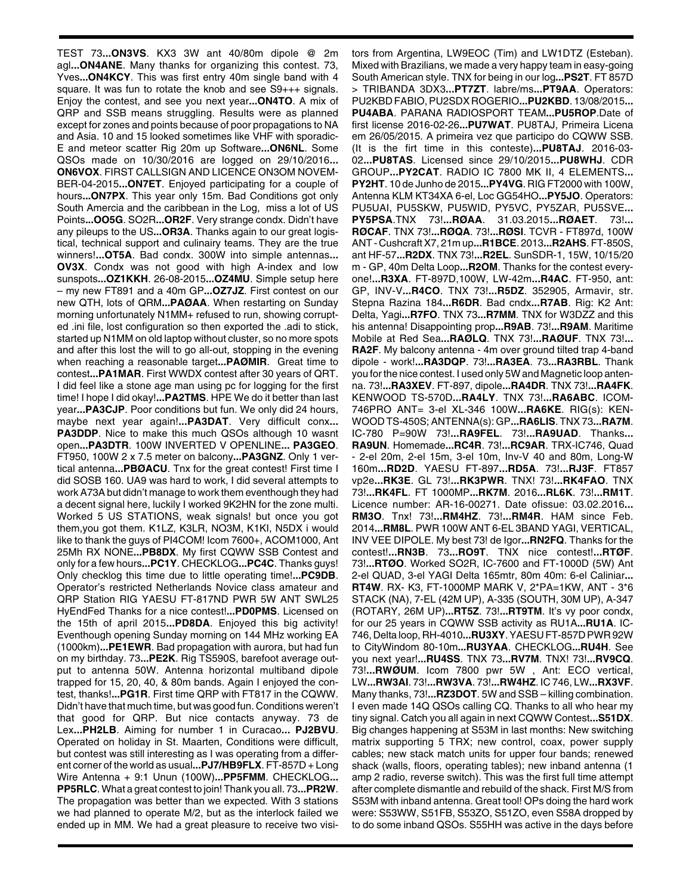TEST 73**...ON3VS**. KX3 3W ant 40/80m dipole @ 2m agl**...ON4ANE**. Many thanks for organizing this contest. 73, Yves**...ON4KCY**. This was first entry 40m single band with 4 square. It was fun to rotate the knob and see S9+++ signals. Enjoy the contest, and see you next year**...ON4TO**. A mix of QRP and SSB means struggling. Results were as planned except for zones and points because of poor propagations to NA and Asia. 10 and 15 looked sometimes like VHF with sporadic-E and meteor scatter Rig 20m up Software**...ON6NL**. Some QSOs made on 10/30/2016 are logged on 29/10/2016**... ON6VOX**. FIRST CALLSIGN AND LICENCE ON3OM NOVEM-BER-04-2015**...ON7ET**. Enjoyed participating for a couple of hours**...ON7PX**. This year only 15m. Bad Conditions got only South Amercia and the caribbean in the Log, miss a lot of US Points**...OO5G**. SO2R**...OR2F**. Very strange condx. Didn't have any pileups to the US**...OR3A**. Thanks again to our great logistical, technical support and culinairy teams. They are the true winners!**...OT5A**. Bad condx. 300W into simple antennas**... OV3X**. Condx was not good with high A-index and low sunspots**...OZ1KKH**. 26-08-2015**...OZ4MU**. Simple setup here – my new FT891 and a 40m GP**...OZ7JZ**. First contest on our new QTH, lots of QRM**...PAØAA**. When restarting on Sunday morning unfortunately N1MM+ refused to run, showing corrupted .ini file, lost configuration so then exported the .adi to stick, started up N1MM on old laptop without cluster, so no more spots and after this lost the will to go all-out, stopping in the evening when reaching a reasonable target**...PAØMIR**. Great time to contest**...PA1MAR**. First WWDX contest after 30 years of QRT. I did feel like a stone age man using pc for logging for the first time! I hope I did okay!**...PA2TMS**. HPE We do it better than last year**...PA3CJP**. Poor conditions but fun. We only did 24 hours, maybe next year again!**...PA3DAT**. Very difficult conx**... PA3DDP**. Nice to make this much QSOs although 10 wasnt open**...PA3DTR**. 100W INVERTED V OPENLINE**... PA3GEO**. FT950, 100W 2 x 7.5 meter on balcony**...PA3GNZ**. Only 1 vertical antenna**...PBØACU**. Tnx for the great contest! First time I did SOSB 160. UA9 was hard to work, I did several attempts to work A73A but didn't manage to work them eventhough they had a decent signal here, luckily I worked 9K2HN for the zone multi. Worked 5 US STATIONS, weak signals! but once you got them,you got them. K1LZ, K3LR, NO3M, K1KI, N5DX i would like to thank the guys of PI4COM! Icom 7600+, ACOM1000, Ant 25Mh RX NONE**...PB8DX**. My first CQWW SSB Contest and only for a few hours**...PC1Y**. CHECKLOG**...PC4C**. Thanks guys! Only checklog this time due to little operating time!**...PC9DB**. Operator's restricted Netherlands Novice class amateur and QRP Station RIG YAESU FT-817ND PWR 5W ANT SWL25 HyEndFed Thanks for a nice contest!**...PD0PMS**. Licensed on the 15th of april 2015**...PD8DA**. Enjoyed this big activity! Eventhough opening Sunday morning on 144 MHz working EA (1000km)**...PE1EWR**. Bad propagation with aurora, but had fun on my birthday. 73**...PE2K**. Rig TS590S, barefoot average output to antenna 50W. Antenna horizontal multiband dipole trapped for 15, 20, 40, & 80m bands. Again I enjoyed the contest, thanks!**...PG1R**. First time QRP with FT817 in the CQWW. Didn't have that much time, but was good fun. Conditions weren't that good for QRP. But nice contacts anyway. 73 de Lex**...PH2LB**. Aiming for number 1 in Curacao**... PJ2BVU**. Operated on holiday in St. Maarten, Conditions were difficult, but contest was still interesting as I was operating from a different corner of the world as usual**...PJ7/HB9FLX**. FT-857D + Long Wire Antenna + 9:1 Unun (100W)**...PP5FMM**. CHECKLOG**... PP5RLC**. What a great contest to join! Thank you all. 73**...PR2W**. The propagation was better than we expected. With 3 stations we had planned to operate M/2, but as the interlock failed we ended up in MM. We had a great pleasure to receive two visi-

tors from Argentina, LW9EOC (Tim) and LW1DTZ (Esteban). Mixed with Brazilians, we made a very happy team in easy-going South American style. TNX for being in our log**...PS2T**. FT 857D > TRIBANDA 3DX3**...PT7ZT**. labre/ms**...PT9AA**. Operators: PU2KBD FABIO, PU2SDX ROGERIO**...PU2KBD**. 13/08/2015**... PU4ABA**. PARANA RADIOSPORT TEAM**...PU5ROP**.Date of first license 2016-02-26**...PU7WAT**. PU8TAJ, Primeira Licena em 26/05/2015. A primeira vez que participo do CQWW SSB. (It is the firt time in this conteste)**...PU8TAJ**. 2016-03- 02**...PU8TAS**. Licensed since 29/10/2015**...PU8WHJ**. CDR GROUP**...PY2CAT**. RADIO IC 7800 MK II, 4 ELEMENTS**... PY2HT**. 10 de Junho de 2015**...PY4VG**. RIG FT2000 with 100W, Antenna KLM KT34XA 6-el, Loc GG54HO**...PY5JO**. Operators: PU5UAI, PU5SKW, PU5WID, PY5VC, PY5ZAR, PU5SVE**... PY5PSA**.TNX 73!**...RØAA**. 31.03.2015**...RØAET**. 73!**... RØCAF**. TNX 73!**...RØQA**. 73!**...RØSI**. TCVR - FT897d, 100W ANT - Cushcraft X7, 21m up**...R1BCE**. 2013**...R2AHS**. FT-850S, ant HF-57**...R2DX**. TNX 73!**...R2EL**. SunSDR-1, 15W, 10/15/20 m - GP, 40m Delta Loop**...R2OM**. Thanks for the contest everyone!**...R3XA**. FT-897D,100W, LW-42m**...R4AC**. FT-950, ant: GP, INV-V**...R4CO**. TNX 73!**...R5DZ**. 352905, Armavir, str. Stepna Razina 184**...R6DR**. Bad cndx**...R7AB**. Rig: K2 Ant: Delta, Yagi**...R7FO**. TNX 73**...R7MM**. TNX for W3DZZ and this his antenna! Disappointing prop**...R9AB**. 73!**...R9AM**. Maritime Mobile at Red Sea**...RAØLQ**. TNX 73!**...RAØUF**. TNX 73!**... RA2F**. My balcony antenna - 4m over ground tilted trap 4-band dipole - work!**...RA3DQP**. 73!**...RA3EA**. 73**...RA3RBL**. Thank you for the nice contest. I used only 5W and Magnetic loop antenna. 73!**...RA3XEV**. FT-897, dipole**...RA4DR**. TNX 73!**...RA4FK**. KENWOOD TS-570D**...RA4LY**. TNX 73!**...RA6ABC**. ICOM-746PRO ANT= 3-el XL-346 100W**...RA6KE**. RIG(s): KEN-WOOD TS-450S; ANTENNA(s): GP**...RA6LIS**. TNX 73**...RA7M**. IC-780 P=90W 73!**...RA9FEL**. 73!**...RA9UAD**. Thanks**... RA9UN**. Homemade**...RC4R**. 73!**...RC9AR**. TRX-IC746, Quad - 2-el 20m, 2-el 15m, 3-el 10m, Inv-V 40 and 80m, Long-W 160m**...RD2D**. YAESU FT-897**...RD5A**. 73!**...RJ3F**. FT857 vp2e**...RK3E**. GL 73!**...RK3PWR**. TNX! 73!**...RK4FAO**. TNX 73!**...RK4FL**. FT 1000MP**...RK7M**. 2016**...RL6K**. 73!**...RM1T**. Licence number: AR-16-00271. Date ofissue: 03.02.2016**... RM3O**. Tnx! 73!**...RM4HZ**. 73!**...RM4R**. HAM since Feb. 2014**...RM8L**. PWR 100W ANT 6-EL 3BAND YAGI, VERTICAL, INV VEE DIPOLE. My best 73! de Igor**...RN2FQ**. Thanks for the contest!**...RN3B**. 73**...RO9T**. TNX nice contest!**...RTØF**. 73!**...RTØO**. Worked SO2R, IC-7600 and FT-1000D (5W) Ant 2-el QUAD, 3-el YAGI Delta 165mtr, 80m 40m: 6-el Caliniar**... RT4W**. RX- K3, FT-1000MP MARK V, 2\*PA=1KW, ANT - 3\*6 STACK (NA), 7-EL (42M UP), A-335 (SOUTH, 30M UP), A-347 (ROTARY, 26M UP)**...RT5Z**. 73!**...RT9TM**. It's vy poor condx, for our 25 years in CQWW SSB activity as RU1A**...RU1A**. IC-746, Delta loop, RH-4010**...RU3XY**. YAESU FT-857D PWR 92W to CityWindom 80-10m**...RU3YAA**. CHECKLOG**...RU4H**. See you next year!**...RU4SS**. TNX 73**...RV7M**. TNX! 73!**...RV9CQ**. 73!**...RWØUM**. Icom 7800 pwr 5W , Ant: ECO vertical, LW**...RW3AI**. 73!**...RW3VA**. 73!**...RW4HZ**. IC 746, LW**...RX3VF**. Many thanks, 73!**...RZ3DOT**. 5W and SSB – killing combination. I even made 14Q QSOs calling CQ. Thanks to all who hear my tiny signal. Catch you all again in next CQWW Contest**...S51DX**. Big changes happening at S53M in last months: New switching matrix supporting 5 TRX; new control, coax, power supply cables; new stack match units for upper four bands; renewed shack (walls, floors, operating tables); new inband antenna (1 amp 2 radio, reverse switch). This was the first full time attempt after complete dismantle and rebuild of the shack. First M/S from S53M with inband antenna. Great tool! OPs doing the hard work were: S53WW, S51FB, S53ZO, S51ZO, even S58A dropped by to do some inband QSOs. S55HH was active in the days before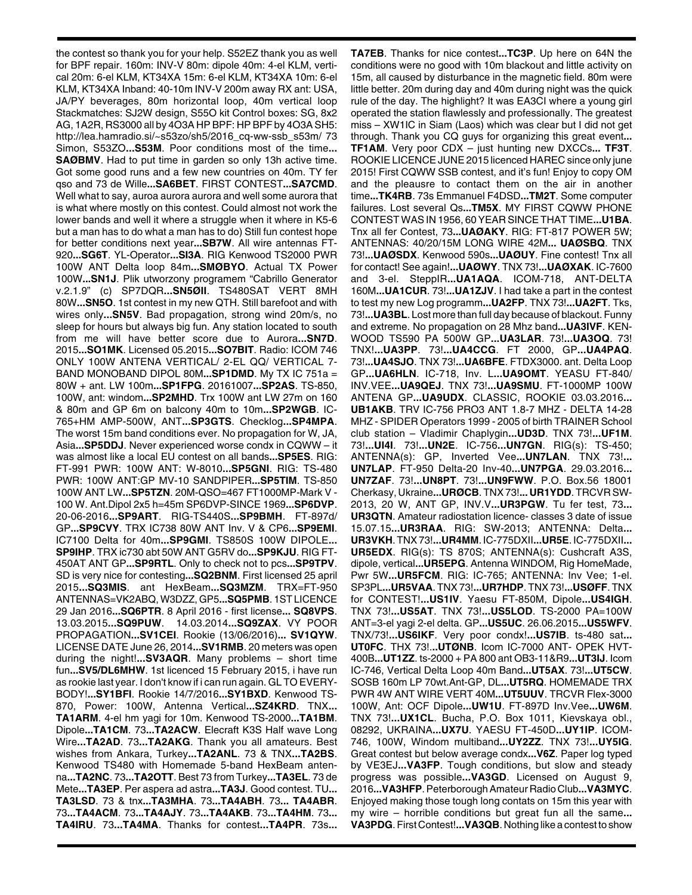the contest so thank you for your help. S52EZ thank you as well for BPF repair. 160m: INV-V 80m: dipole 40m: 4-el KLM, vertical 20m: 6-el KLM, KT34XA 15m: 6-el KLM, KT34XA 10m: 6-el KLM, KT34XA Inband: 40-10m INV-V 200m away RX ant: USA, JA/PY beverages, 80m horizontal loop, 40m vertical loop Stackmatches: SJ2W design, S55O kit Control boxes: SG, 8x2 AG, 1A2R, RS3000 all by 4O3A HP BPF: HP BPF by 4O3A SH5: http://lea.hamradio.si/~s53zo/sh5/2016\_cq-ww-ssb\_s53m/ 73 Simon, S53ZO**...S53M**. Poor conditions most of the time**... SAØBMV**. Had to put time in garden so only 13h active time. Got some good runs and a few new countries on 40m. TY fer qso and 73 de Wille**...SA6BET**. FIRST CONTEST**...SA7CMD**. Well what to say, auroa aurora aurora and well some aurora that is what where mostly on this contest. Could almost not work the lower bands and well it where a struggle when it where in K5-6 but a man has to do what a man has to do) Still fun contest hope for better conditions next year**...SB7W**. All wire antennas FT-920**...SG6T**. YL-Operator**...SI3A**. RIG Kenwood TS2000 PWR 100W ANT Delta loop 84m**...SMØBYO**. Actual TX Power 100W**...SN1J**. Plik utworzony programem "Cabrillo Generator v.2.1.9" (c) SP7DQR**...SN5ØII**. TS480SAT VERT 8MH 80W**...SN5O**. 1st contest in my new QTH. Still barefoot and with wires only**...SN5V**. Bad propagation, strong wind 20m/s, no sleep for hours but always big fun. Any station located to south from me will have better score due to Aurora**...SN7D**. 2015**...SO1MK**. Licensed 05.2015**...SO7BIT**. Radio: ICOM 746 ONLY 100W ANTENA VERTICAL/ 2-EL QQ/ VERTICAL 7- BAND MONOBAND DIPOL 80M**...SP1DMD**. My TX IC 751a = 80W + ant. LW 100m**...SP1FPG**. 20161007**...SP2AS**. TS-850, 100W, ant: windom**...SP2MHD**. Trx 100W ant LW 27m on 160 & 80m and GP 6m on balcony 40m to 10m**...SP2WGB**. IC-765+HM AMP-500W, ANT**...SP3GTS**. Checklog**...SP4MPA**. The worst 15m band conditions ever. No propagation for W, JA, Asia**...SP5DDJ**. Never experienced worse condx in CQWW – it was almost like a local EU contest on all bands**...SP5ES**. RIG: FT-991 PWR: 100W ANT: W-8010**...SP5GNI**. RIG: TS-480 PWR: 100W ANT:GP MV-10 SANDPIPER**...SP5TIM**. TS-850 100W ANT LW**...SP5TZN**. 20M-QSO=467 FT1000MP-Mark V - 100 W. Ant.Dipol 2x5 h=45m SP6DVP-SINCE 1969**...SP6DVP**. 20-06-2016**...SP9ART**. RIG-TS440S**...SP9BMH**. FT-897d/ GP**...SP9CVY**. TRX IC738 80W ANT Inv. V & CP6**...SP9EMI**. IC7100 Delta for 40m**...SP9GMI**. TS850S 100W DIPOLE**... SP9IHP**. TRX ic730 abt 50W ANT G5RV do**...SP9KJU**. RIG FT-450AT ANT GP**...SP9RTL**. Only to check not to pcs**...SP9TPV**. SD is very nice for contesting**...SQ2BNM**. First licensed 25 april 2015**...SQ3MIS**. ant HexBeam**...SQ3MZM**. TRX=FT-950 ANTENNAS=VK2ABQ, W3DZZ, GP5**...SQ5PMB**. 1ST LICENCE 29 Jan 2016**...SQ6PTR**. 8 April 2016 - first license**... SQ8VPS**. 13.03.2015**...SQ9PUW**. 14.03.2014**...SQ9ZAX**. VY POOR PROPAGATION**...SV1CEI**. Rookie (13/06/2016)**... SV1QYW**. LICENSE DATE June 26, 2014**...SV1RMB**. 20 meters was open during the night!**...SV3AQR**. Many problems – short time fun**...SV5/DL6MHW**. 1st licenced 15 February 2015, i have run as rookie last year. I don't know if i can run again. GL TO EVERY-BODY!**...SY1BFI**. Rookie 14/7/2016**...SY1BXD**. Kenwood TS-870, Power: 100W, Antenna Vertical**...SZ4KRD**. TNX**... TA1ARM**. 4-el hm yagi for 10m. Kenwood TS-2000**...TA1BM**. Dipole**...TA1CM**. 73**...TA2ACW**. Elecraft K3S Half wave Long Wire**...TA2AD**. 73**...TA2AKG**. Thank you all amateurs. Best wishes from Ankara, Turkey**...TA2ANL**. 73 & TNX**...TA2BS**. Kenwood TS480 with Homemade 5-band HexBeam antenna**...TA2NC**. 73**...TA2OTT**. Best 73 from Turkey**...TA3EL**. 73 de Mete**...TA3EP**. Per aspera ad astra**...TA3J**. Good contest. TU**... TA3LSD**. 73 & tnx**...TA3MHA**. 73**...TA4ABH**. 73**... TA4ABR**. 73**...TA4ACM**. 73**...TA4AJY**. 73**...TA4AKB**. 73**...TA4HM**. 73**... TA4IRU**. 73**...TA4MA**. Thanks for contest**...TA4PR**. 73s**...**

**TA7EB**. Thanks for nice contest**...TC3P**. Up here on 64N the conditions were no good with 10m blackout and little activity on 15m, all caused by disturbance in the magnetic field. 80m were little better. 20m during day and 40m during night was the quick rule of the day. The highlight? It was EA3CI where a young girl operated the station flawlessly and professionally. The greatest miss – XW1IC in Siam (Laos) which was clear but I did not get through. Thank you CQ guys for organizing this great event**... TF1AM**. Very poor CDX – just hunting new DXCCs**... TF3T**. ROOKIE LICENCE JUNE 2015 licenced HAREC since only june 2015! First CQWW SSB contest, and it's fun! Enjoy to copy OM and the pleausre to contact them on the air in another time**...TK4RB**. 73s Emmanuel F4DSD**...TM2T**. Some computer failures. Lost several Qs**...TM5X**. MY FIRST CQWW PHONE CONTEST WAS IN 1956, 60 YEAR SINCE THAT TIME**...U1BA**. Tnx all fer Contest, 73**...UAØAKY**. RIG: FT-817 POWER 5W; ANTENNAS: 40/20/15M LONG WIRE 42M**... UAØSBQ**. TNX 73!**...UAØSDX**. Kenwood 590s**...UAØUY**. Fine contest! Tnx all for contact! See again!**...UAØWY**. TNX 73!**...UAØXAK**. IC-7600 and 3-el. SteppIR**...UA1AQA**. ICOM-718, ANT-DELTA 160M**...UA1CUR**. 73!**...UA1ZJV**. I had take a part in the contest to test my new Log programm**...UA2FP**. TNX 73!**...UA2FT**. Tks, 73!**...UA3BL**. Lost more than full day because of blackout. Funny and extreme. No propagation on 28 Mhz band**...UA3IVF**. KEN-WOOD TS590 PA 500W GP**...UA3LAR**. 73!**...UA3OQ**. 73! TNX!**...UA3PP**. 73!**...UA4CCG**. FT 2000, GP**...UA4PAQ**. 73!**...UA4SJO**. TNX 73!**...UA6BFE**. FTDX3000. ant. Delta Loop GP**...UA6HLN**. IC-718, Inv. L**...UA9OMT**. YEASU FT-840/ INV.VEE**...UA9QEJ**. TNX 73!**...UA9SMU**. FT-1000MP 100W ANTENA GP**...UA9UDX**. CLASSIC, ROOKIE 03.03.2016**... UB1AKB**. TRV IC-756 PRO3 ANT 1.8-7 MHZ - DELTA 14-28 MHZ - SPIDER Operators 1999 - 2005 of birth TRAINER School club station – Vladimir Chaplygin**...UD3D**. TNX 73!**...UF1M**. 73!**...UI4I**. 73!**...UN2E**. IC-756**...UN7GN**. RIG(s): TS-450; ANTENNA(s): GP, Inverted Vee**...UN7LAN**. TNX 73!**... UN7LAP**. FT-950 Delta-20 Inv-40**...UN7PGA**. 29.03.2016**... UN7ZAF**. 73!**...UN8PT**. 73!**...UN9FWW**. P.O. Box.56 18001 Cherkasy, Ukraine**...URØCB**. TNX 73!**... UR1YDD**. TRCVR SW-2013, 20 W, ANT GP, INV.V**...UR3PGW**. Tu fer test, 73**... UR3QTN**. Amateur radiostation licence- classes 3 date of issue 15.07.15**...UR3RAA**. RIG: SW-2013; ANTENNA: Delta**... UR3VKH**. TNX 73!**...UR4MM**. IC-775DXII**...UR5E**. IC-775DXII**... UR5EDX**. RIG(s): TS 870S; ANTENNA(s): Cushcraft A3S, dipole, vertical**...UR5EPG**. Antenna WINDOM, Rig HomeMade, Pwr 5W**...UR5FCM**. RIG: IC-765; ANTENNA: Inv Vee; 1-el. SP3PL**...UR5VAA**. TNX 73!**...UR7HDP**. TNX 73!**...USØFF**. TNX for CONTEST!**...US1IV**. Yaesu FT-850M, Dipole**...US4IGH**. TNX 73!**...US5AT**. TNX 73!**...US5LOD**. TS-2000 PA=100W ANT=3-el yagi 2-el delta. GP**...US5UC**. 26.06.2015**...US5WFV**. TNX/73!**...US6IKF**. Very poor condx!**...US7IB**. ts-480 sat**... UT0FC**. THX 73!.**..UTØNB**. Icom IC-7000 ANT- OPEK HVT-400B**...UT1ZZ**. ts-2000 + PA 800 ant OB3-11&R9**...UT3IJ**. Icom IC-746, Vertical Delta Loop 40m Band**...UT5AX**. 73!**...UT5CW**. SOSB 160m LP 70wt.Ant-GP, DL**...UT5RQ**. HOMEMADE TRX PWR 4W ANT WIRE VERT 40M**...UT5UUV**. TRCVR Flex-3000 100W, Ant: OCF Dipole**...UW1U**. FT-897D Inv.Vee**...UW6M**. TNX 73!**...UX1CL**. Bucha, P.O. Box 1011, Kievskaya obl., 08292, UKRAINA**...UX7U**. YAESU FT-450D**...UY1IP**. ICOM-746, 100W, Windom multiband**...UY2ZZ**. TNX 73!**...UY5IG**. Great contest but below average condx**...V6Z**. Paper log typed by VE3EJ**...VA3FP**. Tough conditions, but slow and steady progress was possible**...VA3GD**. Licensed on August 9, 2016**...VA3HFP**. Peterborough Amateur Radio Club**...VA3MYC**. Enjoyed making those tough long contats on 15m this year with my wire – horrible conditions but great fun all the same**... VA3PDG**. First Contest!**...VA3QB**. Nothing like a contest to show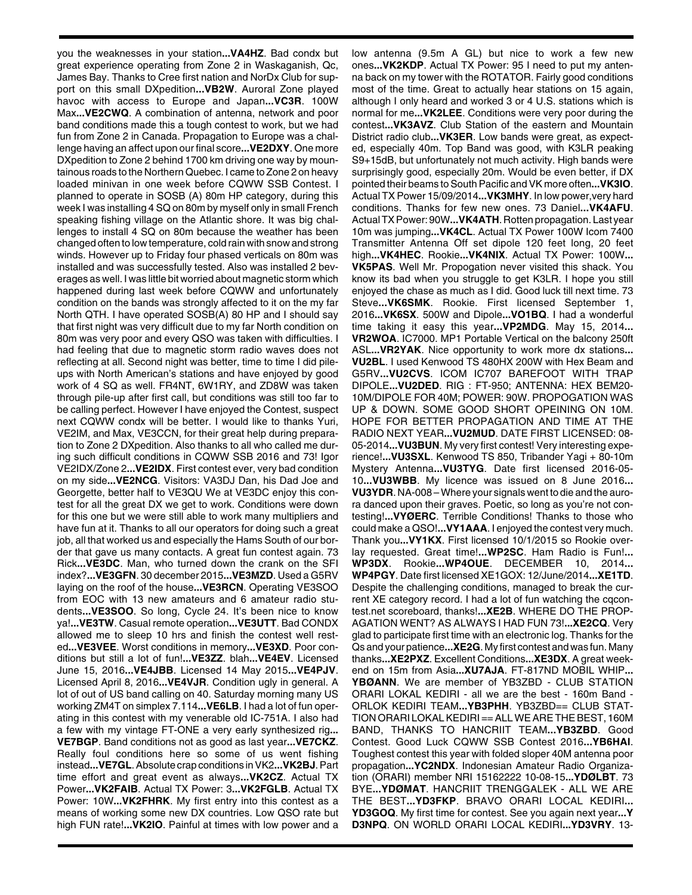you the weaknesses in your station**...VA4HZ**. Bad condx but great experience operating from Zone 2 in Waskaganish, Qc, James Bay. Thanks to Cree first nation and NorDx Club for support on this small DXpedition**...VB2W**. Auroral Zone played havoc with access to Europe and Japan**...VC3R**. 100W Max**...VE2CWQ**. A combination of antenna, network and poor band conditions made this a tough contest to work, but we had fun from Zone 2 in Canada. Propagation to Europe was a challenge having an affect upon our final score**...VE2DXY**. One more DXpedition to Zone 2 behind 1700 km driving one way by mountainous roads to the Northern Quebec. I came to Zone 2 on heavy loaded minivan in one week before CQWW SSB Contest. I planned to operate in SOSB (A) 80m HP category, during this week I was installing 4 SQ on 80m by myself only in small French speaking fishing village on the Atlantic shore. It was big challenges to install 4 SQ on 80m because the weather has been changed often to low temperature, cold rain with snow and strong winds. However up to Friday four phased verticals on 80m was installed and was successfully tested. Also was installed 2 beverages as well. I was little bit worried about magnetic storm which happened during last week before CQWW and unfortunately condition on the bands was strongly affected to it on the my far North QTH. I have operated SOSB(A) 80 HP and I should say that first night was very difficult due to my far North condition on 80m was very poor and every QSO was taken with difficulties. I had feeling that due to magnetic storm radio waves does not reflecting at all. Second night was better, time to time I did pileups with North American's stations and have enjoyed by good work of 4 SQ as well. FR4NT, 6W1RY, and ZD8W was taken through pile-up after first call, but conditions was still too far to be calling perfect. However I have enjoyed the Contest, suspect next CQWW condx will be better. I would like to thanks Yuri, VE2IM, and Max, VE3CCN, for their great help during preparation to Zone 2 DXpedition. Also thanks to all who called me during such difficult conditions in CQWW SSB 2016 and 73! Igor VE2IDX/Zone 2**...VE2IDX**. First contest ever, very bad condition on my side**...VE2NCG**. Visitors: VA3DJ Dan, his Dad Joe and Georgette, better half to VE3QU We at VE3DC enjoy this contest for all the great DX we get to work. Conditions were down for this one but we were still able to work many multipliers and have fun at it. Thanks to all our operators for doing such a great job, all that worked us and especially the Hams South of our border that gave us many contacts. A great fun contest again. 73 Rick**...VE3DC**. Man, who turned down the crank on the SFI index?**...VE3GFN**. 30 december 2015**...VE3MZD**. Used a G5RV laying on the roof of the house**...VE3RCN**. Operating VE3SOO from EOC with 13 new amateurs and 6 amateur radio students**...VE3SOO**. So long, Cycle 24. It's been nice to know ya!**...VE3TW**. Casual remote operation**...VE3UTT**. Bad CONDX allowed me to sleep 10 hrs and finish the contest well rested**...VE3VEE**. Worst conditions in memory**...VE3XD**. Poor conditions but still a lot of fun!**...VE3ZZ**. blah**...VE4EV**. Licensed June 15, 2016**...VE4JBB**. Licensed 14 May 2015**...VE4PJV**. Licensed April 8, 2016**...VE4VJR**. Condition ugly in general. A lot of out of US band calling on 40. Saturday morning many US working ZM4T on simplex 7.114**...VE6LB**. I had a lot of fun operating in this contest with my venerable old IC-751A. I also had a few with my vintage FT-ONE a very early synthesized rig**... VE7BGP**. Band conditions not as good as last year**...VE7CKZ**. Really foul conditions here so some of us went fishing instead**...VE7GL**. Absolute crap conditions in VK2**...VK2BJ**. Part time effort and great event as always**...VK2CZ**. Actual TX Power**...VK2FAIB**. Actual TX Power: 3**...VK2FGLB**. Actual TX Power: 10W**...VK2FHRK**. My first entry into this contest as a means of working some new DX countries. Low QSO rate but high FUN rate!**...VK2IO**. Painful at times with low power and a

low antenna (9.5m A GL) but nice to work a few new ones**...VK2KDP**. Actual TX Power: 95 I need to put my antenna back on my tower with the ROTATOR. Fairly good conditions most of the time. Great to actually hear stations on 15 again, although I only heard and worked 3 or 4 U.S. stations which is normal for me**...VK2LEE**. Conditions were very poor during the contest**...VK3AVZ**. Club Station of the eastern and Mountain District radio club**...VK3ER**. Low bands were great, as expected, especially 40m. Top Band was good, with K3LR peaking S9+15dB, but unfortunately not much activity. High bands were surprisingly good, especially 20m. Would be even better, if DX pointed their beams to South Pacific and VK more often**...VK3IO**. Actual TX Power 15/09/2014**...VK3MHY**. In low power,very hard conditions. Thanks for few new ones. 73 Daniel**...VK4AFU**. Actual TX Power: 90W**...VK4ATH**. Rotten propagation. Last year 10m was jumping**...VK4CL**. Actual TX Power 100W Icom 7400 Transmitter Antenna Off set dipole 120 feet long, 20 feet high**...VK4HEC**. Rookie**...VK4NIX**. Actual TX Power: 100W**... VK5PAS**. Well Mr. Propogation never visited this shack. You know its bad when you struggle to get K3LR. I hope you still enjoyed the chase as much as I did. Good luck till next time. 73 Steve**...VK6SMK**. Rookie. First licensed September 1, 2016**...VK6SX**. 500W and Dipole**...VO1BQ**. I had a wonderful time taking it easy this year**...VP2MDG**. May 15, 2014**... VR2WOA**. IC7000. MP1 Portable Vertical on the balcony 250ft ASL**...VR2YAK**. Nice opportunity to work more dx stations**... VU2BL**. I used Kenwood TS 480HX 200W with Hex Beam and G5RV**...VU2CVS**. ICOM IC707 BAREFOOT WITH TRAP DIPOLE**...VU2DED**. RIG : FT-950; ANTENNA: HEX BEM20- 10M/DIPOLE FOR 40M; POWER: 90W. PROPOGATION WAS UP & DOWN. SOME GOOD SHORT OPEINING ON 10M. HOPE FOR BETTER PROPAGATION AND TIME AT THE RADIO NEXT YEAR**...VU2MUD**. DATE FIRST LICENSED: 08- 05-2014**...VU3BUN**. My very first contest! Very interesting experience!**...VU3SXL**. Kenwood TS 850, Tribander Yagi + 80-10m Mystery Antenna**...VU3TYG**. Date first licensed 2016-05- 10**...VU3WBB**. My licence was issued on 8 June 2016**... VU3YDR**. NA-008 – Where your signals went to die and the aurora danced upon their graves. Poetic, so long as you're not contesting!**...VYØERC**. Terrible Conditions! Thanks to those who could make a QSO!**...VY1AAA**. I enjoyed the contest very much. Thank you**...VY1KX**. First licensed 10/1/2015 so Rookie overlay requested. Great time!**...WP2SC**. Ham Radio is Fun!**... WP3DX**. Rookie**...WP4OUE**. DECEMBER 10, 2014**... WP4PGY**. Date first licensed XE1GOX: 12/June/2014**...XE1TD**. Despite the challenging conditions, managed to break the current XE category record. I had a lot of fun watching the cqcontest.net scoreboard, thanks!**...XE2B**. WHERE DO THE PROP-AGATION WENT? AS ALWAYS I HAD FUN 73!**...XE2CQ**. Very glad to participate first time with an electronic log. Thanks for the Qs and your patience**...XE2G**. My first contest and was fun. Many thanks**...XE2PXZ**. Excellent Conditions**...XE3DX**. A great weekend on 15m from Asia**...XU7AJA**. FT-817ND MOBIL WHIP**... YBØANN**. We are member of YB3ZBD - CLUB STATION ORARI LOKAL KEDIRI - all we are the best - 160m Band - ORLOK KEDIRI TEAM**...YB3PHH**. YB3ZBD== CLUB STAT-TION ORARI LOKAL KEDIRI == ALL WE ARE THE BEST, 160M BAND, THANKS TO HANCRIIT TEAM**...YB3ZBD**. Good Contest. Good Luck CQWW SSB Contest 2016**...YB6HAI**. Toughest contest this year with folded sloper 40M antenna poor propagation**...YC2NDX**. Indonesian Amateur Radio Organization (ORARI) member NRI 15162222 10-08-15**...YDØLBT**. 73 BYE**...YDØMAT**. HANCRIIT TRENGGALEK - ALL WE ARE THE BEST**...YD3FKP**. BRAVO ORARI LOCAL KEDIRI**... YD3GOQ**. My first time for contest. See you again next year**...Y D3NPQ**. ON WORLD ORARI LOCAL KEDIRI**...YD3VRY**. 13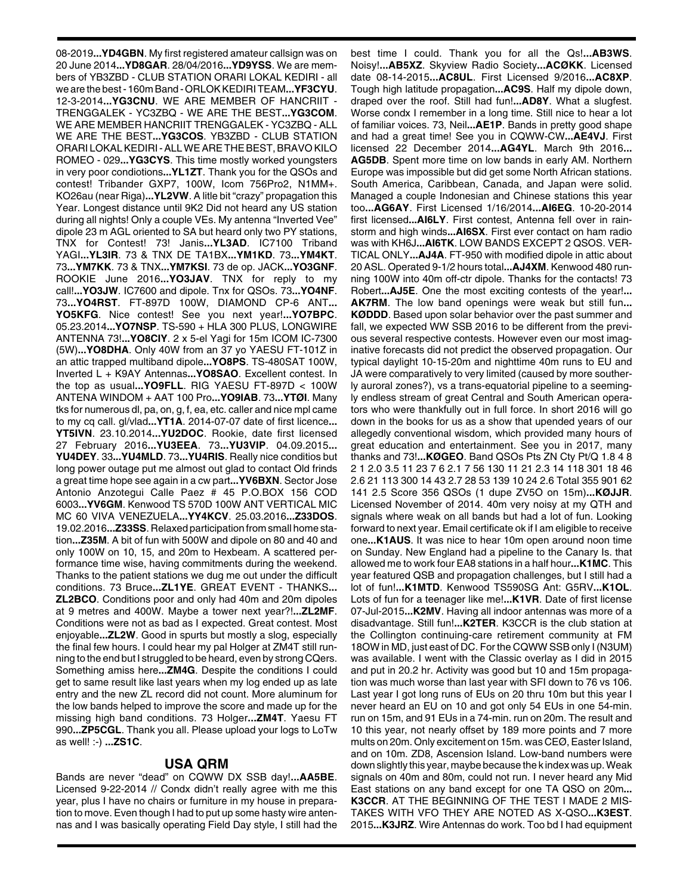08-2019**...YD4GBN**. My first registered amateur callsign was on 20 June 2014**...YD8GAR**. 28/04/2016**...YD9YSS**. We are members of YB3ZBD - CLUB STATION ORARI LOKAL KEDIRI - all we are the best - 160m Band - ORLOK KEDIRI TEAM**...YF3CYU**. 12-3-2014**...YG3CNU**. WE ARE MEMBER OF HANCRIIT - TRENGGALEK - YC3ZBQ - WE ARE THE BEST**...YG3COM**. WE ARE MEMBER HANCRIIT TRENGGALEK - YC3ZBQ - ALL WE ARE THE BEST**...YG3COS**. YB3ZBD - CLUB STATION ORARI LOKAL KEDIRI - ALL WE ARE THE BEST, BRAVO KILO ROMEO - 029**...YG3CYS**. This time mostly worked youngsters in very poor condiotions**...YL1ZT**. Thank you for the QSOs and contest! Tribander GXP7, 100W, Icom 756Pro2, N1MM+. KO26au (near Riga)**...YL2VW**. A litle bit "crazy" propagation this Year. Longest distance until 9K2 Did not heard any US station during all nights! Only a couple VEs. My antenna "Inverted Vee" dipole 23 m AGL oriented to SA but heard only two PY stations, TNX for Contest! 73! Janis**...YL3AD**. IC7100 Triband YAGI**...YL3IR**. 73 & TNX DE TA1BX**...YM1KD**. 73**...YM4KT**. 73**...YM7KK**. 73 & TNX**...YM7KSI**. 73 de op. JACK**...YO3GNF**. ROOKIE June 2016**...YO3JAV**. TNX for reply to my call!**...YO3JW**. IC7600 and dipole. Tnx for QSOs. 73**...YO4NF**. 73**...YO4RST**. FT-897D 100W, DIAMOND CP-6 ANT**... YO5KFG**. Nice contest! See you next year!**...YO7BPC**. 05.23.2014**...YO7NSP**. TS-590 + HLA 300 PLUS, LONGWIRE ANTENNA 73!**...YO8CIY**. 2 x 5-el Yagi for 15m ICOM IC-7300 (5W)**...YO8DHA**. Only 40W from an 37 yo YAESU FT-101Z in an attic trapped multiband dipole**...YO8PS**. TS-480SAT 100W, Inverted L + K9AY Antennas**...YO8SAO**. Excellent contest. In the top as usual**...YO9FLL**. RIG YAESU FT-897D < 100W ANTENA WINDOM + AAT 100 Pro**...YO9IAB**. 73**...YTØI**. Many tks for numerous dl, pa, on, g, f, ea, etc. caller and nice mpl came to my cq call. gl/vlad**...YT1A**. 2014-07-07 date of first licence**... YT5IVN**. 23.10.2014**...YU2DOC**. Rookie, date first licensed 27 February 2016**...YU3EEA**. 73**...YU3VIP**. 04.09.2015**... YU4DEY**. 33**...YU4MLD**. 73**...YU4RIS**. Really nice conditios but long power outage put me almost out glad to contact Old frinds a great time hope see again in a cw part**...YV6BXN**. Sector Jose Antonio Anzotegui Calle Paez # 45 P.O.BOX 156 COD 6003**...YV6GM**. Kenwood TS 570D 100W ANT VERTICAL MIC MC 60 VIVA VENEZUELA**...YY4KCV**. 25.03.2016**...Z33DOS**. 19.02.2016**...Z33SS**. Relaxed participation from small home station**...Z35M**. A bit of fun with 500W and dipole on 80 and 40 and only 100W on 10, 15, and 20m to Hexbeam. A scattered performance time wise, having commitments during the weekend. Thanks to the patient stations we dug me out under the difficult conditions. 73 Bruce**...ZL1YE**. GREAT EVENT - THANKS**... ZL2BCO**. Conditions poor and only had 40m and 20m dipoles at 9 metres and 400W. Maybe a tower next year?!**...ZL2MF**. Conditions were not as bad as I expected. Great contest. Most enjoyable**...ZL2W**. Good in spurts but mostly a slog, especially the final few hours. I could hear my pal Holger at ZM4T still running to the end but I struggled to be heard, even by strong CQers. Something amiss here**...ZM4G**. Despite the conditions I could get to same result like last years when my log ended up as late entry and the new ZL record did not count. More aluminum for the low bands helped to improve the score and made up for the missing high band conditions. 73 Holger**...ZM4T**. Yaesu FT 990**...ZP5CGL**. Thank you all. Please upload your logs to LoTw as well! :-) **...ZS1C**.

## **USA QRM**

Bands are never "dead" on CQWW DX SSB day!**...AA5BE**. Licensed 9-22-2014 // Condx didn't really agree with me this year, plus I have no chairs or furniture in my house in preparation to move. Even though I had to put up some hasty wire antennas and I was basically operating Field Day style, I still had the

best time I could. Thank you for all the Qs!**...AB3WS**. Noisy!**...AB5XZ**. Skyview Radio Society**...ACØKK**. Licensed date 08-14-2015**...AC8UL**. First Licensed 9/2016**...AC8XP**. Tough high latitude propagation**...AC9S**. Half my dipole down, draped over the roof. Still had fun!**...AD8Y**. What a slugfest. Worse condx I remember in a long time. Still nice to hear a lot of familiar voices. 73, Neil**...AE1P**. Bands in pretty good shape and had a great time! See you in CQWW-CW**...AE4VJ**. First licensed 22 December 2014**...AG4YL**. March 9th 2016**... AG5DB**. Spent more time on low bands in early AM. Northern Europe was impossible but did get some North African stations. South America, Caribbean, Canada, and Japan were solid. Managed a couple Indonesian and Chinese stations this year too**...AG6AY**. First Licensed 1/16/2014**...AI6EG**. 10-20-2014 first licensed**...AI6LY**. First contest, Antenna fell over in rainstorm and high winds**...AI6SX**. First ever contact on ham radio was with KH6J**...AI6TK**. LOW BANDS EXCEPT 2 QSOS. VER-TICAL ONLY**...AJ4A**. FT-950 with modified dipole in attic about 20 ASL. Operated 9-1/2 hours total**...AJ4XM**. Kenwood 480 running 100W into 40m off-ctr dipole. Thanks for the contacts! 73 Robert**...AJ5E**. One the most exciting contests of the year!**... AK7RM**. The low band openings were weak but still fun**... KØDDD**. Based upon solar behavior over the past summer and fall, we expected WW SSB 2016 to be different from the previous several respective contests. However even our most imaginative forecasts did not predict the observed propagation. Our typical daylight 10-15-20m and nighttime 40m runs to EU and JA were comparatively to very limited (caused by more southerly auroral zones?), vs a trans-equatorial pipeline to a seemingly endless stream of great Central and South American operators who were thankfully out in full force. In short 2016 will go down in the books for us as a show that upended years of our allegedly conventional wisdom, which provided many hours of great education and entertainment. See you in 2017, many thanks and 73!**...KØGEO**. Band QSOs Pts ZN Cty Pt/Q 1.8 4 8 2 1 2.0 3.5 11 23 7 6 2.1 7 56 130 11 21 2.3 14 118 301 18 46 2.6 21 113 300 14 43 2.7 28 53 139 10 24 2.6 Total 355 901 62 141 2.5 Score 356 QSOs (1 dupe ZV5O on 15m)**...KØJJR**. Licensed November of 2014. 40m very noisy at my QTH and signals where weak on all bands but had a lot of fun. Looking forward to next year. Email certificate ok if I am eligible to receive one**...K1AUS**. It was nice to hear 10m open around noon time on Sunday. New England had a pipeline to the Canary Is. that allowed me to work four EA8 stations in a half hour**...K1MC**. This year featured QSB and propagation challenges, but I still had a lot of fun!**...K1MTD**. Kenwood TS590SG Ant: G5RV**...K1OL**. Lots of fun for a teenager like me!**...K1VR**. Date of first license 07-Jul-2015**...K2MV**. Having all indoor antennas was more of a disadvantage. Still fun!**...K2TER**. K3CCR is the club station at the Collington continuing-care retirement community at FM 18OW in MD, just east of DC. For the CQWW SSB only I (N3UM) was available. I went with the Classic overlay as I did in 2015 and put in 20.2 hr. Activity was good but 10 and 15m propagation was much worse than last year with SFI down to 76 vs 106. Last year I got long runs of EUs on 20 thru 10m but this year I never heard an EU on 10 and got only 54 EUs in one 54-min. run on 15m, and 91 EUs in a 74-min. run on 20m. The result and 10 this year, not nearly offset by 189 more points and 7 more mults on 20m. Only excitement on 15m. was CEØ, Easter Island, and on 10m. ZD8, Ascension Island. Low-band numbers were down slightly this year, maybe because the k index was up. Weak signals on 40m and 80m, could not run. I never heard any Mid East stations on any band except for one TA QSO on 20m**... K3CCR**. AT THE BEGINNING OF THE TEST I MADE 2 MIS-TAKES WITH VFO THEY ARE NOTED AS X-QSO**...K3EST**. 2015**...K3JRZ**. Wire Antennas do work. Too bd I had equipment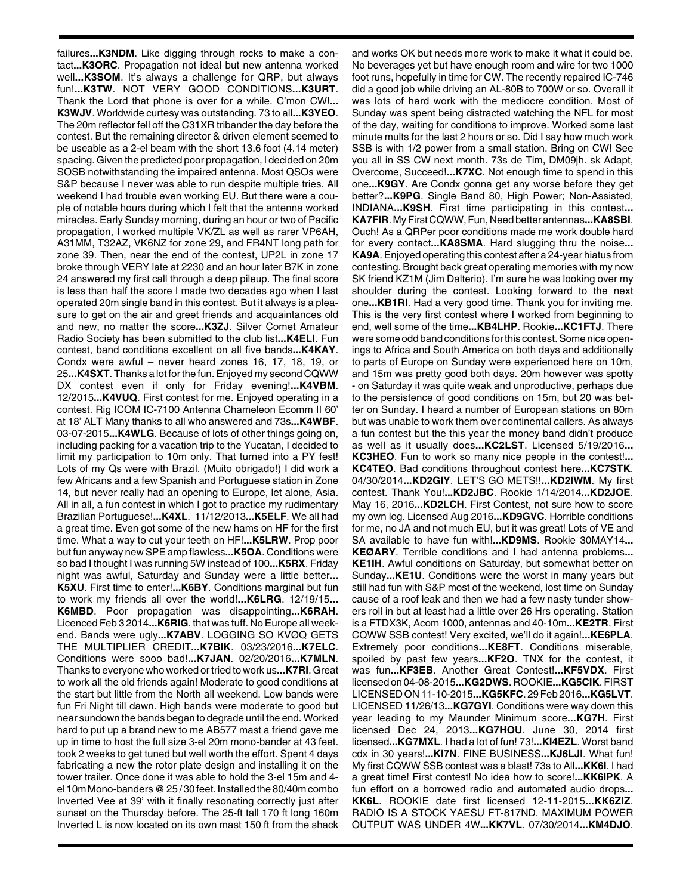failures**...K3NDM**. Like digging through rocks to make a contact**...K3ORC**. Propagation not ideal but new antenna worked well**...K3SOM**. It's always a challenge for QRP, but always fun!**...K3TW**. NOT VERY GOOD CONDITIONS**...K3URT**. Thank the Lord that phone is over for a while. C'mon CW!**... K3WJV**. Worldwide curtesy was outstanding. 73 to all**...K3YEO**. The 20m reflector fell off the C31XR tribander the day before the contest. But the remaining director & driven element seemed to be useable as a 2-el beam with the short 13.6 foot (4.14 meter) spacing. Given the predicted poor propagation, I decided on 20m SOSB notwithstanding the impaired antenna. Most QSOs were S&P because I never was able to run despite multiple tries. All weekend I had trouble even working EU. But there were a couple of notable hours during which I felt that the antenna worked miracles. Early Sunday morning, during an hour or two of Pacific propagation, I worked multiple VK/ZL as well as rarer VP6AH, A31MM, T32AZ, VK6NZ for zone 29, and FR4NT long path for zone 39. Then, near the end of the contest, UP2L in zone 17 broke through VERY late at 2230 and an hour later B7K in zone 24 answered my first call through a deep pileup. The final score is less than half the score I made two decades ago when I last operated 20m single band in this contest. But it always is a pleasure to get on the air and greet friends and acquaintances old and new, no matter the score**...K3ZJ**. Silver Comet Amateur Radio Society has been submitted to the club list**...K4ELI**. Fun contest, band conditions excellent on all five bands**...K4KAY**. Condx were awful – never heard zones 16, 17, 18, 19, or 25**...K4SXT**. Thanks a lot for the fun. Enjoyed my second CQWW DX contest even if only for Friday evening!**...K4VBM**. 12/2015**...K4VUQ**. First contest for me. Enjoyed operating in a contest. Rig ICOM IC-7100 Antenna Chameleon Ecomm II 60' at 18' ALT Many thanks to all who answered and 73s**...K4WBF**. 03-07-2015**...K4WLG**. Because of lots of other things going on, including packing for a vacation trip to the Yucatan, I decided to limit my participation to 10m only. That turned into a PY fest! Lots of my Qs were with Brazil. (Muito obrigado!) I did work a few Africans and a few Spanish and Portuguese station in Zone 14, but never really had an opening to Europe, let alone, Asia. All in all, a fun contest in which I got to practice my rudimentary Brazilian Portuguese!**...K4XL**. 11/12/2013**...K5ELF**. We all had a great time. Even got some of the new hams on HF for the first time. What a way to cut your teeth on HF!**...K5LRW**. Prop poor but fun anyway new SPE amp flawless**...K5OA**. Conditions were so bad I thought I was running 5W instead of 100**...K5RX**. Friday night was awful, Saturday and Sunday were a little better**... K5XU**. First time to enter!**...K6BY**. Conditions marginal but fun to work my friends all over the world!**...K6LRG**. 12/19/15**... K6MBD**. Poor propagation was disappointing**...K6RAH**. Licenced Feb 3 2014**...K6RIG**. that was tuff. No Europe all weekend. Bands were ugly**...K7ABV**. LOGGING SO KVØQ GETS THE MULTIPLIER CREDIT**...K7BIK**. 03/23/2016**...K7ELC**. Conditions were sooo bad!**...K7JAN**. 02/20/2016**...K7MLN**. Thanks to everyone who worked or tried to work us**...K7RI**. Great to work all the old friends again! Moderate to good conditions at the start but little from the North all weekend. Low bands were fun Fri Night till dawn. High bands were moderate to good but near sundown the bands began to degrade until the end. Worked hard to put up a brand new to me AB577 mast a friend gave me up in time to host the full size 3-el 20m mono-bander at 43 feet. took 2 weeks to get tuned but well worth the effort. Spent 4 days fabricating a new the rotor plate design and installing it on the tower trailer. Once done it was able to hold the 3-el 15m and 4 el 10m Mono-banders @ 25 / 30 feet. Installed the 80/40m combo Inverted Vee at 39' with it finally resonating correctly just after sunset on the Thursday before. The 25-ft tall 170 ft long 160m Inverted L is now located on its own mast 150 ft from the shack

and works OK but needs more work to make it what it could be. No beverages yet but have enough room and wire for two 1000 foot runs, hopefully in time for CW. The recently repaired IC-746 did a good job while driving an AL-80B to 700W or so. Overall it was lots of hard work with the mediocre condition. Most of Sunday was spent being distracted watching the NFL for most of the day, waiting for conditions to improve. Worked some last minute mults for the last 2 hours or so. Did I say how much work SSB is with 1/2 power from a small station. Bring on CW! See you all in SS CW next month. 73s de Tim, DM09jh. sk Adapt, Overcome, Succeed!**...K7XC**. Not enough time to spend in this one**...K9GY**. Are Condx gonna get any worse before they get better?**...K9PG**. Single Band 80, High Power; Non-Assisted, INDIANA**...K9SH**. First time participating in this contest**... KA7FIR**. My First CQWW, Fun, Need better antennas**...KA8SBI**. Ouch! As a QRPer poor conditions made me work double hard for every contact**...KA8SMA**. Hard slugging thru the noise**... KA9A**. Enjoyed operating this contest after a 24-year hiatus from contesting. Brought back great operating memories with my now SK friend KZ1M (Jim Dalterio). I'm sure he was looking over my shoulder during the contest. Looking forward to the next one**...KB1RI**. Had a very good time. Thank you for inviting me. This is the very first contest where I worked from beginning to end, well some of the time**...KB4LHP**. Rookie**...KC1FTJ**. There were some odd band conditions for this contest. Some nice openings to Africa and South America on both days and additionally to parts of Europe on Sunday were experienced here on 10m, and 15m was pretty good both days. 20m however was spotty - on Saturday it was quite weak and unproductive, perhaps due to the persistence of good conditions on 15m, but 20 was better on Sunday. I heard a number of European stations on 80m but was unable to work them over continental callers. As always a fun contest but the this year the money band didn't produce as well as it usually does**...KC2LST**. Licensed 5/19/2016**... KC3HEO**. Fun to work so many nice people in the contest!**... KC4TEO**. Bad conditions throughout contest here**...KC7STK**. 04/30/2014**...KD2GIY**. LET'S GO METS!!**...KD2IWM**. My first contest. Thank You!**...KD2JBC**. Rookie 1/14/2014**...KD2JOE**. May 16, 2016**...KD2LCH**. First Contest, not sure how to score my own log. Licensed Aug 2016**...KD9GVC**. Horrible conditions for me, no JA and not much EU, but it was great! Lots of VE and SA available to have fun with!**...KD9MS**. Rookie 30MAY14**... KEØARY**. Terrible conditions and I had antenna problems**... KE1IH**. Awful conditions on Saturday, but somewhat better on Sunday**...KE1U**. Conditions were the worst in many years but still had fun with S&P most of the weekend, lost time on Sunday cause of a roof leak and then we had a few nasty tunder showers roll in but at least had a little over 26 Hrs operating. Station is a FTDX3K, Acom 1000, antennas and 40-10m**...KE2TR**. First CQWW SSB contest! Very excited, we'll do it again!**...KE6PLA**. Extremely poor conditions**...KE8FT**. Conditions miserable, spoiled by past few years**...KF2O**. TNX for the contest, it was fun**...KF3EB**. Another Great Contest!**...KF5VDX**. First licensed on 04-08-2015**...KG2DWS**. ROOKIE**...KG5CIK**. FIRST LICENSED ON 11-10-2015**...KG5KFC**. 29 Feb 2016**...KG5LVT**. LICENSED 11/26/13**...KG7GYI**. Conditions were way down this year leading to my Maunder Minimum score**...KG7H**. First licensed Dec 24, 2013**...KG7HOU**. June 30, 2014 first licensed**...KG7MXL**. I had a lot of fun! 73!**...KI4EZL**. Worst band cdx in 30 years!**...KI7N**. FINE BUSINESS**...KJ6LJI**. What fun! My first CQWW SSB contest was a blast! 73s to All**...KK6I**. I had a great time! First contest! No idea how to score!**...KK6IPK**. A fun effort on a borrowed radio and automated audio drops**... KK6L**. ROOKIE date first licensed 12-11-2015**...KK6ZIZ**. RADIO IS A STOCK YAESU FT-817ND. MAXIMUM POWER OUTPUT WAS UNDER 4W**...KK7VL**. 07/30/2014**...KM4DJO**.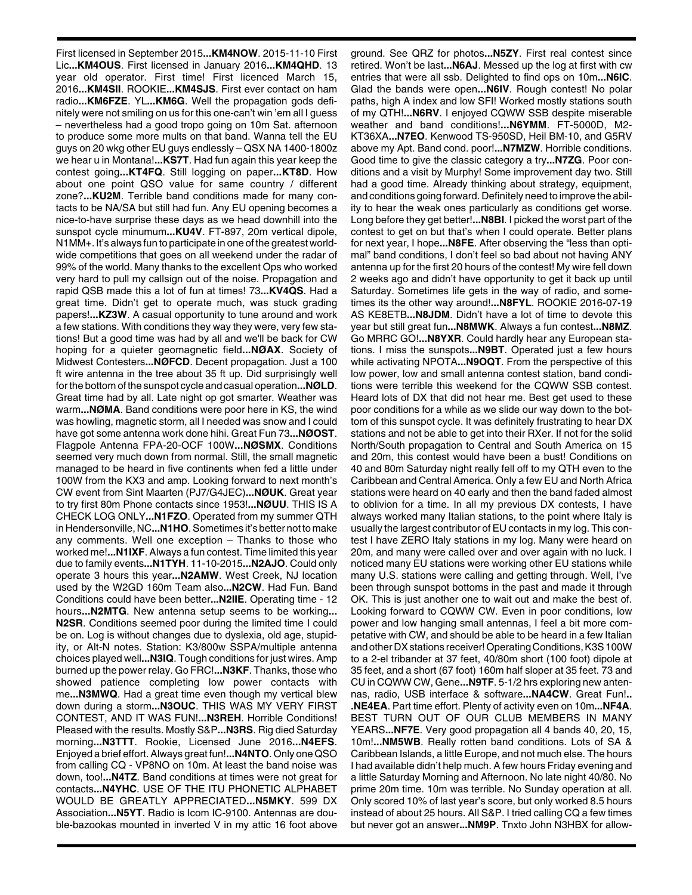First licensed in September 2015**...KM4NOW**. 2015-11-10 First Lic**...KM4OUS**. First licensed in January 2016**...KM4QHD**. 13 year old operator. First time! First licenced March 15, 2016**...KM4SII**. ROOKIE**...KM4SJS**. First ever contact on ham radio**...KM6FZE**. YL**...KM6G**. Well the propagation gods definitely were not smiling on us for this one-can't win 'em all I guess – nevertheless had a good tropo going on 10m Sat. afternoon to produce some more mults on that band. Wanna tell the EU guys on 20 wkg other EU guys endlessly – QSX NA 1400-1800z we hear u in Montana!**...KS7T**. Had fun again this year keep the contest going**...KT4FQ**. Still logging on paper**...KT8D**. How about one point QSO value for same country / different zone?**...KU2M**. Terrible band conditions made for many contacts to be NA/SA but still had fun. Any EU opening becomes a nice-to-have surprise these days as we head downhill into the sunspot cycle minumum**...KU4V**. FT-897, 20m vertical dipole, N1MM+. It's always fun to participate in one of the greatest worldwide competitions that goes on all weekend under the radar of 99% of the world. Many thanks to the excellent Ops who worked very hard to pull my callsign out of the noise. Propagation and rapid QSB made this a lot of fun at times! 73**...KV4QS**. Had a great time. Didn't get to operate much, was stuck grading papers!**...KZ3W**. A casual opportunity to tune around and work a few stations. With conditions they way they were, very few stations! But a good time was had by all and we'll be back for CW hoping for a quieter geomagnetic field**...NØAX**. Society of Midwest Contesters**...NØFCD**. Decent propagation. Just a 100 ft wire antenna in the tree about 35 ft up. Did surprisingly well for the bottom of the sunspot cycle and casual operation**...NØLD**. Great time had by all. Late night op got smarter. Weather was warm**...NØMA**. Band conditions were poor here in KS, the wind was howling, magnetic storm, all I needed was snow and I could have got some antenna work done hihi. Great Fun 73**...NØOST**. Flagpole Antenna FPA-20-OCF 100W**...NØSMX**. Conditions seemed very much down from normal. Still, the small magnetic managed to be heard in five continents when fed a little under 100W from the KX3 and amp. Looking forward to next month's CW event from Sint Maarten (PJ7/G4JEC)**...NØUK**. Great year to try first 80m Phone contacts since 1953!**...NØUU**. THIS IS A CHECK LOG ONLY**...N1FZO**. Operated from my summer QTH in Hendersonville, NC**...N1HO**. Sometimes it's better not to make any comments. Well one exception – Thanks to those who worked me!**...N1IXF**. Always a fun contest. Time limited this year due to family events**...N1TYH**. 11-10-2015**...N2AJO**. Could only operate 3 hours this year**...N2AMW**. West Creek, NJ location used by the W2GD 160m Team also**...N2CW**. Had Fun. Band Conditions could have been better**...N2IIE**. Operating time - 12 hours**...N2MTG**. New antenna setup seems to be working**... N2SR**. Conditions seemed poor during the limited time I could be on. Log is without changes due to dyslexia, old age, stupidity, or Alt-N notes. Station: K3/800w SSPA/multiple antenna choices played well**...N3IQ**. Tough conditions for just wires. Amp burned up the power relay. Go FRC!**...N3KF**. Thanks, those who showed patience completing low power contacts with me**...N3MWQ**. Had a great time even though my vertical blew down during a storm**...N3OUC**. THIS WAS MY VERY FIRST CONTEST, AND IT WAS FUN!**...N3REH**. Horrible Conditions! Pleased with the results. Mostly S&P**...N3RS**. Rig died Saturday morning**...N3TTT**. Rookie, Licensed June 2016**...N4EFS**. Enjoyed a brief effort. Always great fun!**...N4NTO**. Only one QSO from calling CQ - VP8NO on 10m. At least the band noise was down, too!**...N4TZ**. Band conditions at times were not great for contacts**...N4YHC**. USE OF THE ITU PHONETIC ALPHABET WOULD BE GREATLY APPRECIATED**...N5MKY**. 599 DX Association**...N5YT**. Radio is Icom IC-9100. Antennas are double-bazookas mounted in inverted V in my attic 16 foot above

ground. See QRZ for photos**...N5ZY**. First real contest since retired. Won't be last**...N6AJ**. Messed up the log at first with cw entries that were all ssb. Delighted to find ops on 10m**...N6IC**. Glad the bands were open**...N6IV**. Rough contest! No polar paths, high A index and low SFI! Worked mostly stations south of my QTH!**...N6RV**. I enjoyed CQWW SSB despite miserable weather and band conditions!**...N6YMM**. FT-5000D, M2- KT36XA**...N7EO**. Kenwood TS-950SD, Heil BM-10, and G5RV above my Apt. Band cond. poor!**...N7MZW**. Horrible conditions. Good time to give the classic category a try**...N7ZG**. Poor conditions and a visit by Murphy! Some improvement day two. Still had a good time. Already thinking about strategy, equipment, and conditions going forward. Definitely need to improve the ability to hear the weak ones particularly as conditions get worse. Long before they get better!**...N8BI**. I picked the worst part of the contest to get on but that's when I could operate. Better plans for next year, I hope**...N8FE**. After observing the "less than optimal" band conditions, I don't feel so bad about not having ANY antenna up for the first 20 hours of the contest! My wire fell down 2 weeks ago and didn't have opportunity to get it back up until Saturday. Sometimes life gets in the way of radio, and sometimes its the other way around!**...N8FYL**. ROOKIE 2016-07-19 AS KE8ETB**...N8JDM**. Didn't have a lot of time to devote this year but still great fun**...N8MWK**. Always a fun contest**...N8MZ**. Go MRRC GO!**...N8YXR**. Could hardly hear any European stations. I miss the sunspots**...N9BT**. Operated just a few hours while activating NPOTA**...N9OQT**. From the perspective of this low power, low and small antenna contest station, band conditions were terrible this weekend for the CQWW SSB contest. Heard lots of DX that did not hear me. Best get used to these poor conditions for a while as we slide our way down to the bottom of this sunspot cycle. It was definitely frustrating to hear DX stations and not be able to get into their RXer. If not for the solid North/South propagation to Central and South America on 15 and 20m, this contest would have been a bust! Conditions on 40 and 80m Saturday night really fell off to my QTH even to the Caribbean and Central America. Only a few EU and North Africa stations were heard on 40 early and then the band faded almost to oblivion for a time. In all my previous DX contests, I have always worked many Italian stations, to the point where Italy is usually the largest contributor of EU contacts in my log. This contest I have ZERO Italy stations in my log. Many were heard on 20m, and many were called over and over again with no luck. I noticed many EU stations were working other EU stations while many U.S. stations were calling and getting through. Well, I've been through sunspot bottoms in the past and made it through OK. This is just another one to wait out and make the best of. Looking forward to CQWW CW. Even in poor conditions, low power and low hanging small antennas, I feel a bit more competative with CW, and should be able to be heard in a few Italian and other DX stations receiver! Operating Conditions, K3S 100W to a 2-el tribander at 37 feet, 40/80m short (100 foot) dipole at 35 feet, and a short (67 foot) 160m half sloper at 35 feet. 73 and CU in CQWW CW, Gene**...N9TF**. 5-1/2 hrs exploring new antennas, radio, USB interface & software**...NA4CW**. Great Fun!**.. .NE4EA**. Part time effort. Plenty of activity even on 10m**...NF4A**. BEST TURN OUT OF OUR CLUB MEMBERS IN MANY YEARS**...NF7E**. Very good propagation all 4 bands 40, 20, 15, 10m!**...NM5WB**. Really rotten band conditions. Lots of SA & Caribbean Islands, a little Europe, and not much else. The hours I had available didn't help much. A few hours Friday evening and a little Saturday Morning and Afternoon. No late night 40/80. No prime 20m time. 10m was terrible. No Sunday operation at all. Only scored 10% of last year's score, but only worked 8.5 hours instead of about 25 hours. All S&P. I tried calling CQ a few times but never got an answer**...NM9P**. Tnxto John N3HBX for allow-